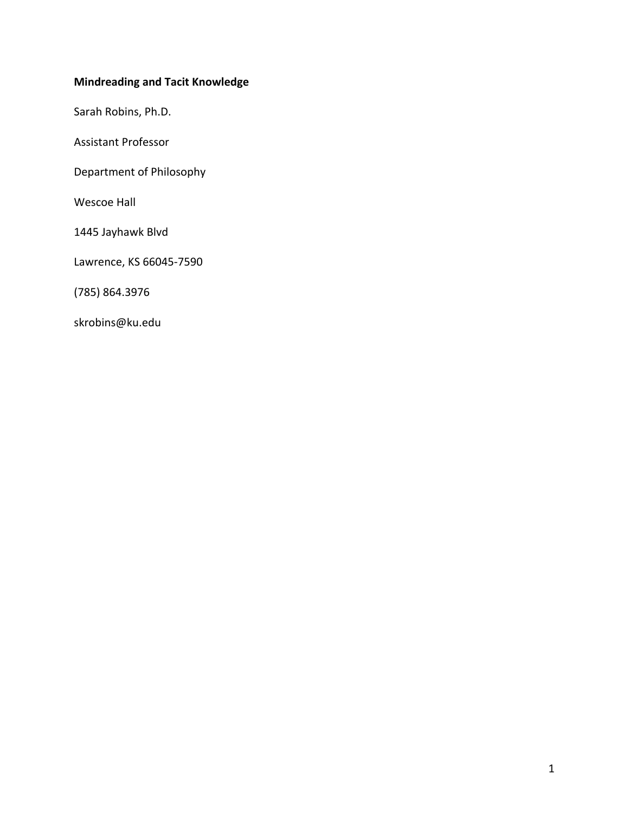# **Mindreading and Tacit Knowledge**

Sarah Robins, Ph.D.

Assistant Professor

Department of Philosophy

Wescoe Hall

1445 Jayhawk Blvd

Lawrence, KS 66045-7590 

(785) 864.3976

skrobins@ku.edu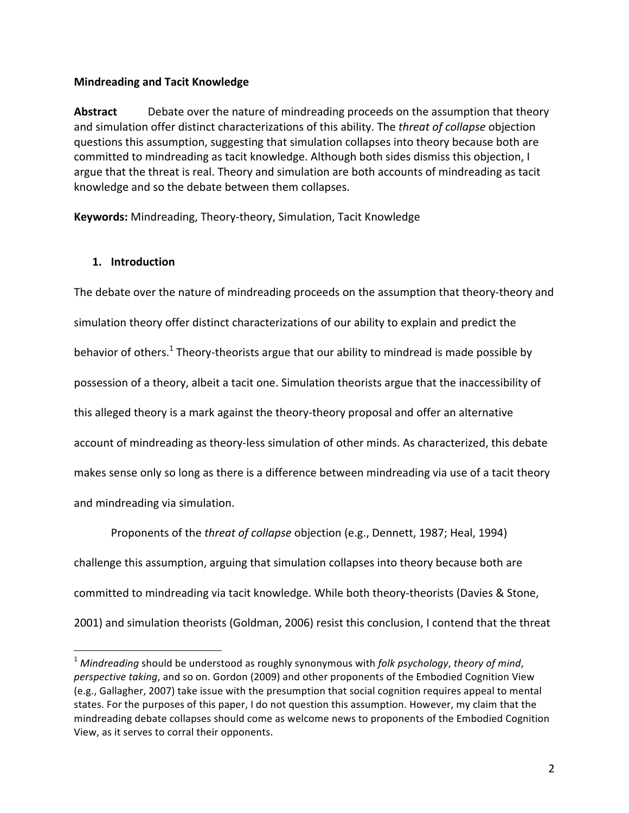# **Mindreading and Tacit Knowledge**

**Abstract** Debate over the nature of mindreading proceeds on the assumption that theory and simulation offer distinct characterizations of this ability. The *threat of collapse* objection questions this assumption, suggesting that simulation collapses into theory because both are committed to mindreading as tacit knowledge. Although both sides dismiss this objection, I argue that the threat is real. Theory and simulation are both accounts of mindreading as tacit knowledge and so the debate between them collapses.

**Keywords:** Mindreading, Theory-theory, Simulation, Tacit Knowledge

# **1. Introduction**

The debate over the nature of mindreading proceeds on the assumption that theory-theory and simulation theory offer distinct characterizations of our ability to explain and predict the behavior of others.<sup>1</sup> Theory-theorists argue that our ability to mindread is made possible by possession of a theory, albeit a tacit one. Simulation theorists argue that the inaccessibility of this alleged theory is a mark against the theory-theory proposal and offer an alternative account of mindreading as theory-less simulation of other minds. As characterized, this debate makes sense only so long as there is a difference between mindreading via use of a tacit theory and mindreading via simulation.

Proponents of the *threat of collapse* objection (e.g., Dennett, 1987; Heal, 1994) challenge this assumption, arguing that simulation collapses into theory because both are committed to mindreading via tacit knowledge. While both theory-theorists (Davies & Stone, 2001) and simulation theorists (Goldman, 2006) resist this conclusion, I contend that the threat

<sup>&</sup>lt;sup>1</sup> Mindreading should be understood as roughly synonymous with *folk psychology, theory of mind, perspective taking*, and so on. Gordon (2009) and other proponents of the Embodied Cognition View (e.g., Gallagher, 2007) take issue with the presumption that social cognition requires appeal to mental states. For the purposes of this paper, I do not question this assumption. However, my claim that the mindreading debate collapses should come as welcome news to proponents of the Embodied Cognition View, as it serves to corral their opponents.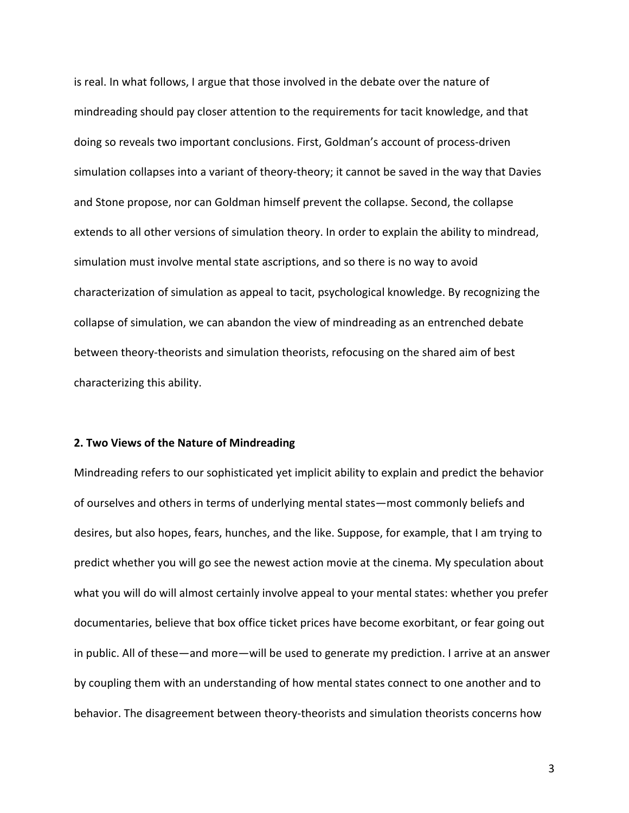is real. In what follows, I argue that those involved in the debate over the nature of mindreading should pay closer attention to the requirements for tacit knowledge, and that doing so reveals two important conclusions. First, Goldman's account of process-driven simulation collapses into a variant of theory-theory; it cannot be saved in the way that Davies and Stone propose, nor can Goldman himself prevent the collapse. Second, the collapse extends to all other versions of simulation theory. In order to explain the ability to mindread, simulation must involve mental state ascriptions, and so there is no way to avoid characterization of simulation as appeal to tacit, psychological knowledge. By recognizing the collapse of simulation, we can abandon the view of mindreading as an entrenched debate between theory-theorists and simulation theorists, refocusing on the shared aim of best characterizing this ability.

# **2. Two Views of the Nature of Mindreading**

Mindreading refers to our sophisticated yet implicit ability to explain and predict the behavior of ourselves and others in terms of underlying mental states—most commonly beliefs and desires, but also hopes, fears, hunches, and the like. Suppose, for example, that I am trying to predict whether you will go see the newest action movie at the cinema. My speculation about what you will do will almost certainly involve appeal to your mental states: whether you prefer documentaries, believe that box office ticket prices have become exorbitant, or fear going out in public. All of these—and more—will be used to generate my prediction. I arrive at an answer by coupling them with an understanding of how mental states connect to one another and to behavior. The disagreement between theory-theorists and simulation theorists concerns how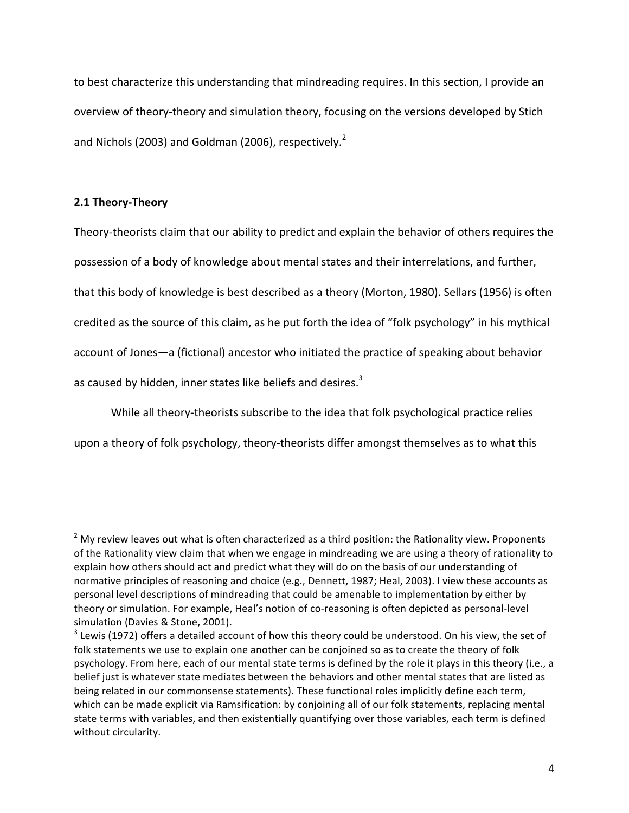to best characterize this understanding that mindreading requires. In this section, I provide an overview of theory-theory and simulation theory, focusing on the versions developed by Stich and Nichols (2003) and Goldman (2006), respectively.<sup>2</sup>

# **2.1 Theory-Theory**

 $\overline{a}$ 

Theory-theorists claim that our ability to predict and explain the behavior of others requires the possession of a body of knowledge about mental states and their interrelations, and further, that this body of knowledge is best described as a theory (Morton, 1980). Sellars (1956) is often credited as the source of this claim, as he put forth the idea of "folk psychology" in his mythical account of Jones—a (fictional) ancestor who initiated the practice of speaking about behavior as caused by hidden, inner states like beliefs and desires.<sup>3</sup>

While all theory-theorists subscribe to the idea that folk psychological practice relies

upon a theory of folk psychology, theory-theorists differ amongst themselves as to what this

 $2$  My review leaves out what is often characterized as a third position: the Rationality view. Proponents of the Rationality view claim that when we engage in mindreading we are using a theory of rationality to explain how others should act and predict what they will do on the basis of our understanding of normative principles of reasoning and choice (e.g., Dennett, 1987; Heal, 2003). I view these accounts as personal level descriptions of mindreading that could be amenable to implementation by either by theory or simulation. For example, Heal's notion of co-reasoning is often depicted as personal-level simulation (Davies & Stone, 2001).

 $3$  Lewis (1972) offers a detailed account of how this theory could be understood. On his view, the set of folk statements we use to explain one another can be conjoined so as to create the theory of folk psychology. From here, each of our mental state terms is defined by the role it plays in this theory (i.e., a belief just is whatever state mediates between the behaviors and other mental states that are listed as being related in our commonsense statements). These functional roles implicitly define each term, which can be made explicit via Ramsification: by conjoining all of our folk statements, replacing mental state terms with variables, and then existentially quantifying over those variables, each term is defined without circularity.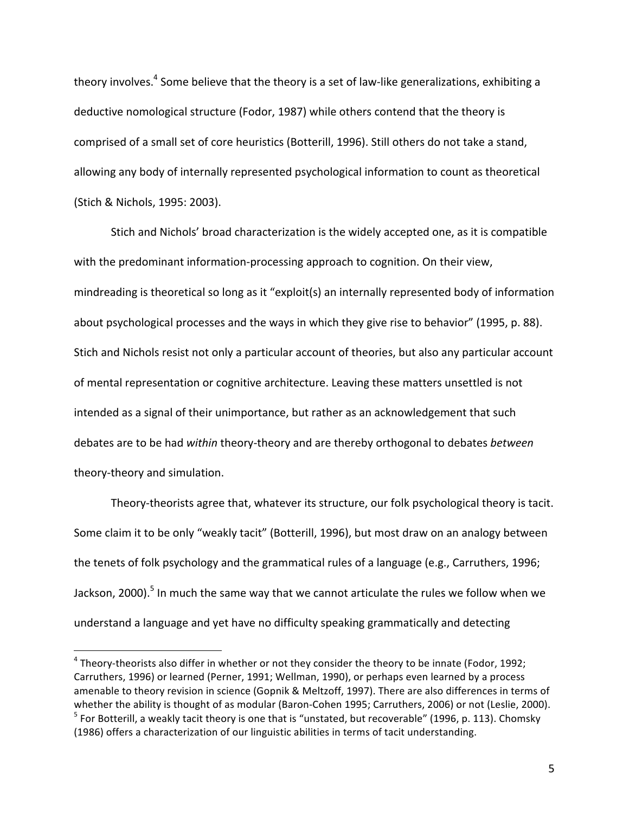theory involves.<sup>4</sup> Some believe that the theory is a set of law-like generalizations, exhibiting a deductive nomological structure (Fodor, 1987) while others contend that the theory is comprised of a small set of core heuristics (Botterill, 1996). Still others do not take a stand, allowing any body of internally represented psychological information to count as theoretical (Stich & Nichols, 1995: 2003).

Stich and Nichols' broad characterization is the widely accepted one, as it is compatible with the predominant information-processing approach to cognition. On their view, mindreading is theoretical so long as it "exploit(s) an internally represented body of information about psychological processes and the ways in which they give rise to behavior" (1995, p. 88). Stich and Nichols resist not only a particular account of theories, but also any particular account of mental representation or cognitive architecture. Leaving these matters unsettled is not intended as a signal of their unimportance, but rather as an acknowledgement that such debates are to be had within theory-theory and are thereby orthogonal to debates between theory-theory and simulation.

Theory-theorists agree that, whatever its structure, our folk psychological theory is tacit. Some claim it to be only "weakly tacit" (Botterill, 1996), but most draw on an analogy between the tenets of folk psychology and the grammatical rules of a language (e.g., Carruthers, 1996; Jackson, 2000).<sup>5</sup> In much the same way that we cannot articulate the rules we follow when we understand a language and yet have no difficulty speaking grammatically and detecting

 $4$  Theory-theorists also differ in whether or not they consider the theory to be innate (Fodor, 1992; Carruthers, 1996) or learned (Perner, 1991; Wellman, 1990), or perhaps even learned by a process amenable to theory revision in science (Gopnik & Meltzoff, 1997). There are also differences in terms of whether the ability is thought of as modular (Baron-Cohen 1995; Carruthers, 2006) or not (Leslie, 2000).  $^5$  For Botterill, a weakly tacit theory is one that is "unstated, but recoverable" (1996, p. 113). Chomsky (1986) offers a characterization of our linguistic abilities in terms of tacit understanding.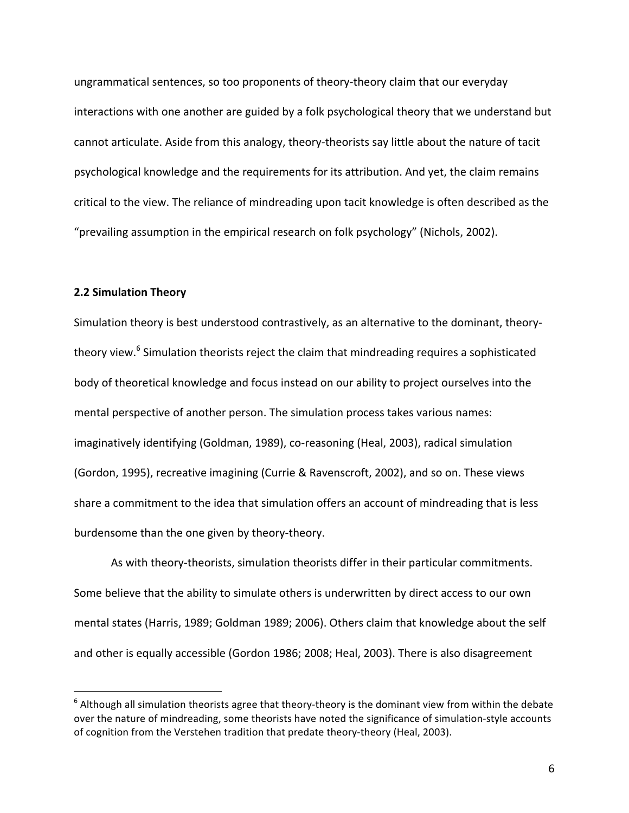ungrammatical sentences, so too proponents of theory-theory claim that our everyday interactions with one another are guided by a folk psychological theory that we understand but cannot articulate. Aside from this analogy, theory-theorists say little about the nature of tacit psychological knowledge and the requirements for its attribution. And yet, the claim remains critical to the view. The reliance of mindreading upon tacit knowledge is often described as the "prevailing assumption in the empirical research on folk psychology" (Nichols, 2002).

#### **2.2 Simulation Theory**

 $\overline{a}$ 

Simulation theory is best understood contrastively, as an alternative to the dominant, theorytheory view.<sup>6</sup> Simulation theorists reject the claim that mindreading requires a sophisticated body of theoretical knowledge and focus instead on our ability to project ourselves into the mental perspective of another person. The simulation process takes various names: imaginatively identifying (Goldman, 1989), co-reasoning (Heal, 2003), radical simulation (Gordon, 1995), recreative imagining (Currie & Ravenscroft, 2002), and so on. These views share a commitment to the idea that simulation offers an account of mindreading that is less burdensome than the one given by theory-theory.

As with theory-theorists, simulation theorists differ in their particular commitments. Some believe that the ability to simulate others is underwritten by direct access to our own mental states (Harris, 1989; Goldman 1989; 2006). Others claim that knowledge about the self and other is equally accessible (Gordon 1986; 2008; Heal, 2003). There is also disagreement

 $6$  Although all simulation theorists agree that theory-theory is the dominant view from within the debate over the nature of mindreading, some theorists have noted the significance of simulation-style accounts of cognition from the Verstehen tradition that predate theory-theory (Heal, 2003).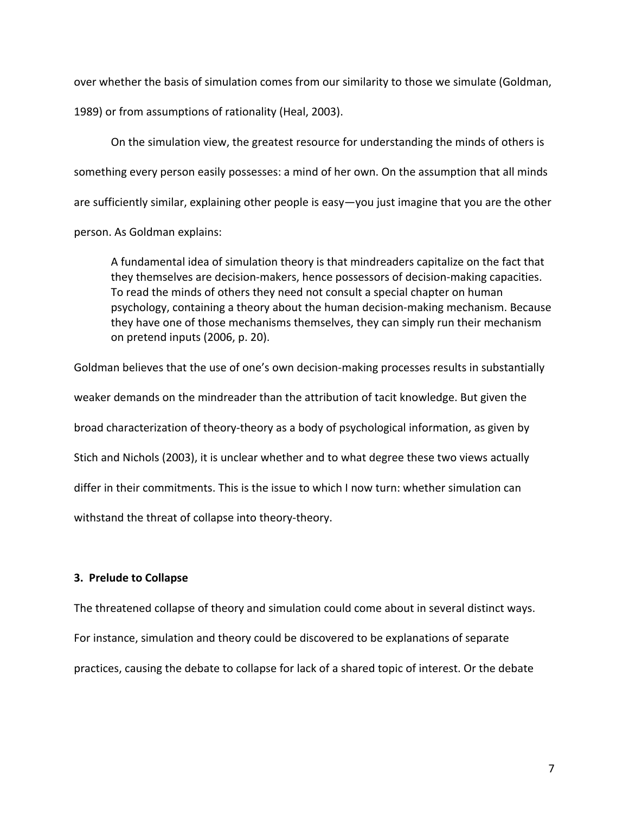over whether the basis of simulation comes from our similarity to those we simulate (Goldman, 1989) or from assumptions of rationality (Heal, 2003).

On the simulation view, the greatest resource for understanding the minds of others is something every person easily possesses: a mind of her own. On the assumption that all minds are sufficiently similar, explaining other people is easy-you just imagine that you are the other person. As Goldman explains:

A fundamental idea of simulation theory is that mindreaders capitalize on the fact that they themselves are decision-makers, hence possessors of decision-making capacities. To read the minds of others they need not consult a special chapter on human psychology, containing a theory about the human decision-making mechanism. Because they have one of those mechanisms themselves, they can simply run their mechanism on pretend inputs (2006, p. 20).

Goldman believes that the use of one's own decision-making processes results in substantially weaker demands on the mindreader than the attribution of tacit knowledge. But given the broad characterization of theory-theory as a body of psychological information, as given by Stich and Nichols (2003), it is unclear whether and to what degree these two views actually differ in their commitments. This is the issue to which I now turn: whether simulation can withstand the threat of collapse into theory-theory.

# **3. Prelude to Collapse**

The threatened collapse of theory and simulation could come about in several distinct ways. For instance, simulation and theory could be discovered to be explanations of separate practices, causing the debate to collapse for lack of a shared topic of interest. Or the debate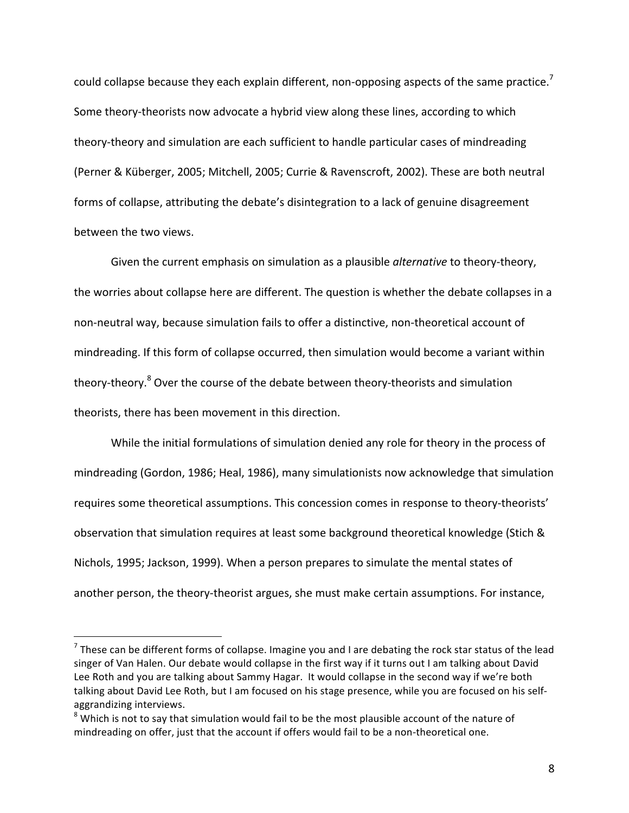could collapse because they each explain different, non-opposing aspects of the same practice.<sup>7</sup> Some theory-theorists now advocate a hybrid view along these lines, according to which theory-theory and simulation are each sufficient to handle particular cases of mindreading (Perner & Küberger, 2005; Mitchell, 2005; Currie & Ravenscroft, 2002). These are both neutral forms of collapse, attributing the debate's disintegration to a lack of genuine disagreement between the two views.

Given the current emphasis on simulation as a plausible *alternative* to theory-theory, the worries about collapse here are different. The question is whether the debate collapses in a non-neutral way, because simulation fails to offer a distinctive, non-theoretical account of mindreading. If this form of collapse occurred, then simulation would become a variant within theory-theory.<sup>8</sup> Over the course of the debate between theory-theorists and simulation theorists, there has been movement in this direction.

While the initial formulations of simulation denied any role for theory in the process of mindreading (Gordon, 1986; Heal, 1986), many simulationists now acknowledge that simulation requires some theoretical assumptions. This concession comes in response to theory-theorists' observation that simulation requires at least some background theoretical knowledge (Stich & Nichols, 1995; Jackson, 1999). When a person prepares to simulate the mental states of another person, the theory-theorist argues, she must make certain assumptions. For instance,

 $<sup>7</sup>$  These can be different forms of collapse. Imagine you and I are debating the rock star status of the lead</sup> singer of Van Halen. Our debate would collapse in the first way if it turns out I am talking about David Lee Roth and you are talking about Sammy Hagar. It would collapse in the second way if we're both talking about David Lee Roth, but I am focused on his stage presence, while you are focused on his selfaggrandizing interviews.

 $8$  Which is not to say that simulation would fail to be the most plausible account of the nature of mindreading on offer, just that the account if offers would fail to be a non-theoretical one.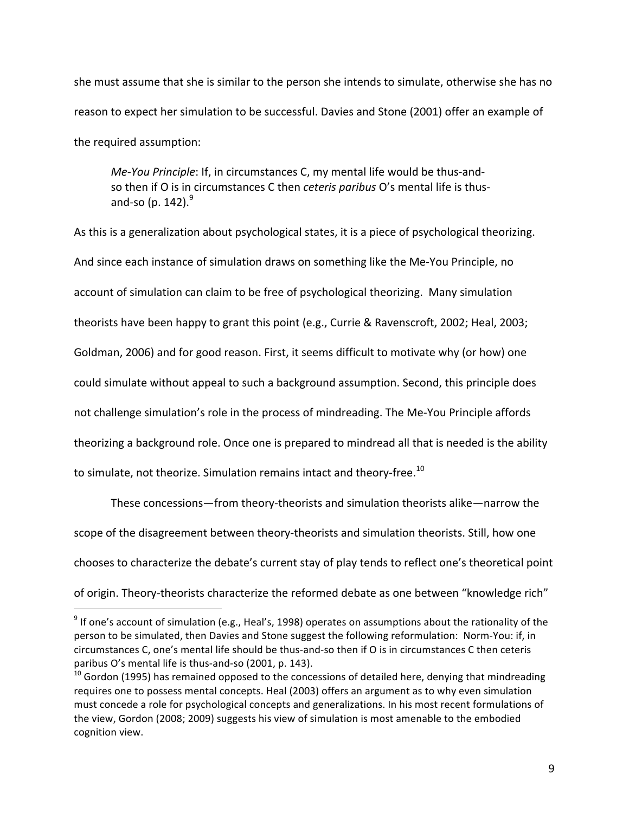she must assume that she is similar to the person she intends to simulate, otherwise she has no reason to expect her simulation to be successful. Davies and Stone (2001) offer an example of the required assumption:

*Me-You Principle*: If, in circumstances C, my mental life would be thus-andso then if O is in circumstances C then *ceteris paribus* O's mental life is thusand-so (p. 142). $9^9$ 

As this is a generalization about psychological states, it is a piece of psychological theorizing. And since each instance of simulation draws on something like the Me-You Principle, no account of simulation can claim to be free of psychological theorizing. Many simulation theorists have been happy to grant this point (e.g., Currie & Ravenscroft, 2002; Heal, 2003; Goldman, 2006) and for good reason. First, it seems difficult to motivate why (or how) one could simulate without appeal to such a background assumption. Second, this principle does not challenge simulation's role in the process of mindreading. The Me-You Principle affords theorizing a background role. Once one is prepared to mindread all that is needed is the ability to simulate, not theorize. Simulation remains intact and theory-free. $^{10}$ 

These concessions—from theory-theorists and simulation theorists alike—narrow the scope of the disagreement between theory-theorists and simulation theorists. Still, how one chooses to characterize the debate's current stay of play tends to reflect one's theoretical point of origin. Theory-theorists characterize the reformed debate as one between "knowledge rich"

 $9$  If one's account of simulation (e.g., Heal's, 1998) operates on assumptions about the rationality of the person to be simulated, then Davies and Stone suggest the following reformulation: Norm-You: if, in circumstances C, one's mental life should be thus-and-so then if O is in circumstances C then ceteris paribus O's mental life is thus-and-so (2001, p. 143).

 $10$  Gordon (1995) has remained opposed to the concessions of detailed here, denying that mindreading requires one to possess mental concepts. Heal (2003) offers an argument as to why even simulation must concede a role for psychological concepts and generalizations. In his most recent formulations of the view, Gordon (2008; 2009) suggests his view of simulation is most amenable to the embodied cognition view.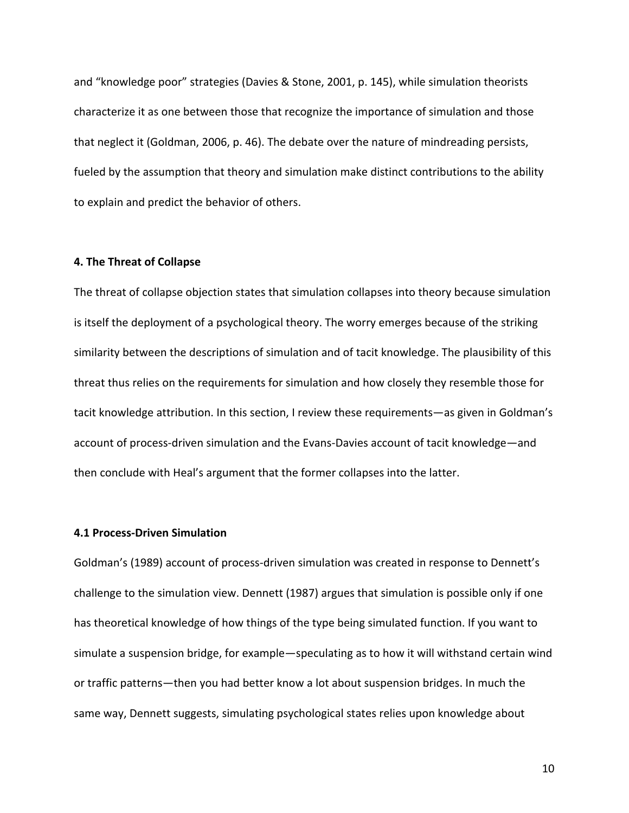and "knowledge poor" strategies (Davies & Stone, 2001, p. 145), while simulation theorists characterize it as one between those that recognize the importance of simulation and those that neglect it (Goldman, 2006, p. 46). The debate over the nature of mindreading persists, fueled by the assumption that theory and simulation make distinct contributions to the ability to explain and predict the behavior of others.

# **4. The Threat of Collapse**

The threat of collapse objection states that simulation collapses into theory because simulation is itself the deployment of a psychological theory. The worry emerges because of the striking similarity between the descriptions of simulation and of tacit knowledge. The plausibility of this threat thus relies on the requirements for simulation and how closely they resemble those for tacit knowledge attribution. In this section, I review these requirements—as given in Goldman's account of process-driven simulation and the Evans-Davies account of tacit knowledge—and then conclude with Heal's argument that the former collapses into the latter.

# **4.1 Process-Driven Simulation**

Goldman's (1989) account of process-driven simulation was created in response to Dennett's challenge to the simulation view. Dennett (1987) argues that simulation is possible only if one has theoretical knowledge of how things of the type being simulated function. If you want to simulate a suspension bridge, for example—speculating as to how it will withstand certain wind or traffic patterns—then you had better know a lot about suspension bridges. In much the same way, Dennett suggests, simulating psychological states relies upon knowledge about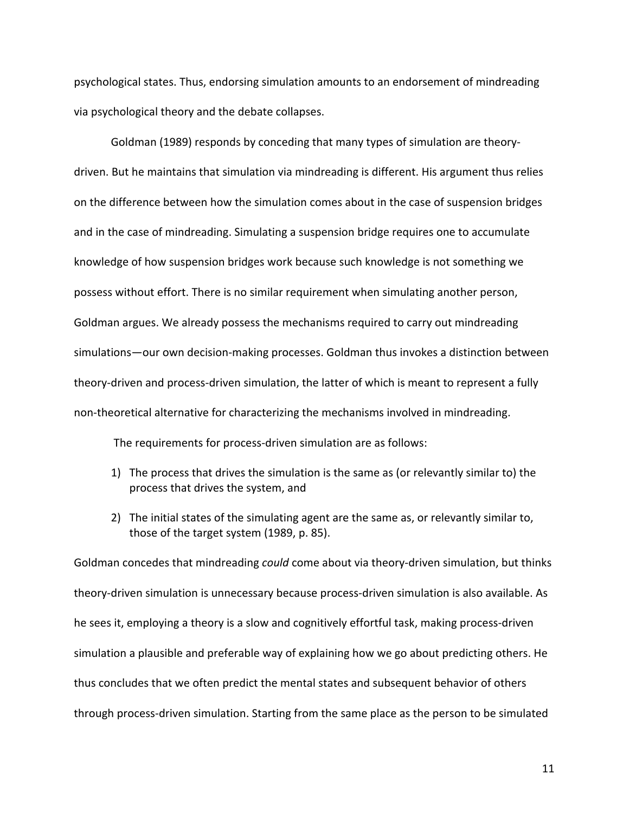psychological states. Thus, endorsing simulation amounts to an endorsement of mindreading via psychological theory and the debate collapses.

Goldman (1989) responds by conceding that many types of simulation are theorydriven. But he maintains that simulation via mindreading is different. His argument thus relies on the difference between how the simulation comes about in the case of suspension bridges and in the case of mindreading. Simulating a suspension bridge requires one to accumulate knowledge of how suspension bridges work because such knowledge is not something we possess without effort. There is no similar requirement when simulating another person, Goldman argues. We already possess the mechanisms required to carry out mindreading simulations—our own decision-making processes. Goldman thus invokes a distinction between theory-driven and process-driven simulation, the latter of which is meant to represent a fully non-theoretical alternative for characterizing the mechanisms involved in mindreading.

The requirements for process-driven simulation are as follows:

- 1) The process that drives the simulation is the same as (or relevantly similar to) the process that drives the system, and
- 2) The initial states of the simulating agent are the same as, or relevantly similar to, those of the target system (1989, p. 85).

Goldman concedes that mindreading *could* come about via theory-driven simulation, but thinks theory-driven simulation is unnecessary because process-driven simulation is also available. As he sees it, employing a theory is a slow and cognitively effortful task, making process-driven simulation a plausible and preferable way of explaining how we go about predicting others. He thus concludes that we often predict the mental states and subsequent behavior of others through process-driven simulation. Starting from the same place as the person to be simulated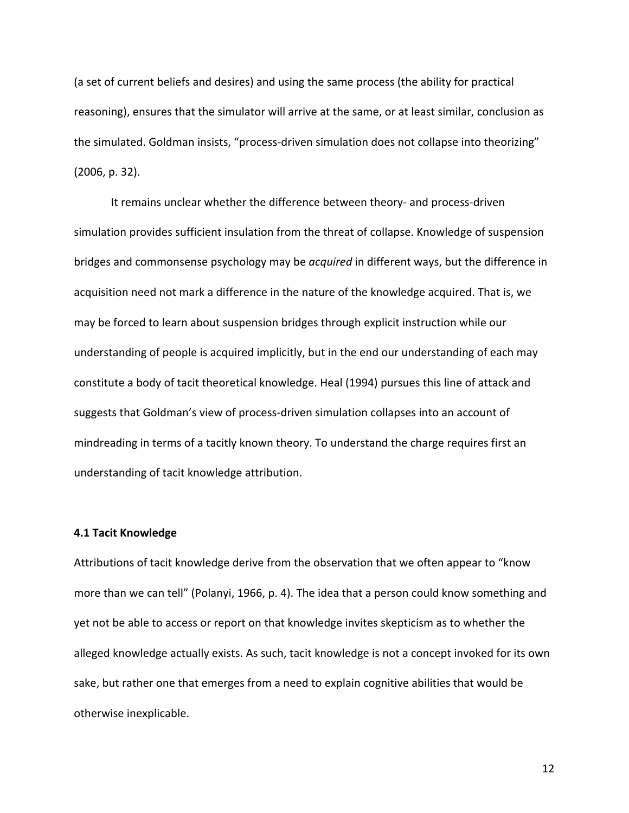(a set of current beliefs and desires) and using the same process (the ability for practical reasoning), ensures that the simulator will arrive at the same, or at least similar, conclusion as the simulated. Goldman insists, "process-driven simulation does not collapse into theorizing"  $(2006, p. 32)$ .

It remains unclear whether the difference between theory- and process-driven simulation provides sufficient insulation from the threat of collapse. Knowledge of suspension bridges and commonsense psychology may be *acquired* in different ways, but the difference in acquisition need not mark a difference in the nature of the knowledge acquired. That is, we may be forced to learn about suspension bridges through explicit instruction while our understanding of people is acquired implicitly, but in the end our understanding of each may constitute a body of tacit theoretical knowledge. Heal (1994) pursues this line of attack and suggests that Goldman's view of process-driven simulation collapses into an account of mindreading in terms of a tacitly known theory. To understand the charge requires first an understanding of tacit knowledge attribution.

# **4.1 Tacit Knowledge**

Attributions of tacit knowledge derive from the observation that we often appear to "know more than we can tell" (Polanyi, 1966, p. 4). The idea that a person could know something and yet not be able to access or report on that knowledge invites skepticism as to whether the alleged knowledge actually exists. As such, tacit knowledge is not a concept invoked for its own sake, but rather one that emerges from a need to explain cognitive abilities that would be otherwise inexplicable.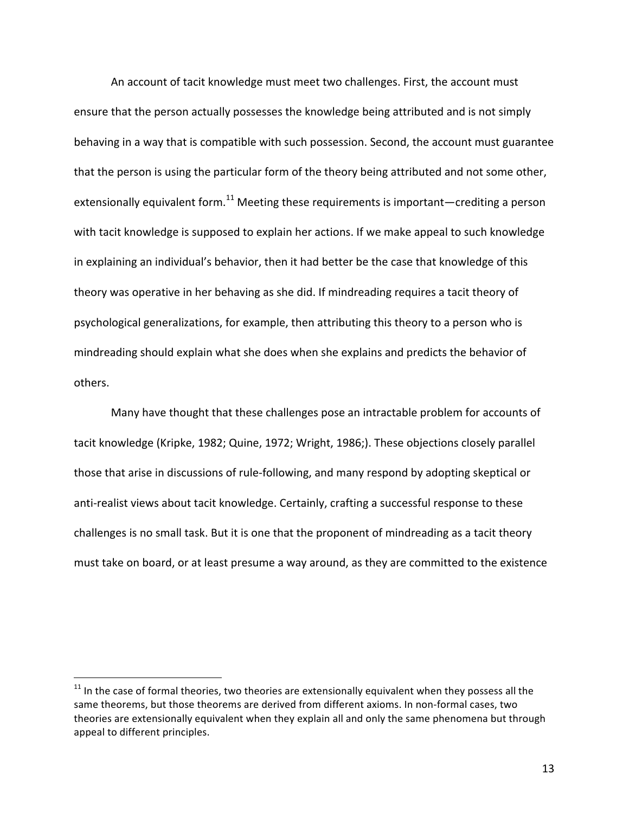An account of tacit knowledge must meet two challenges. First, the account must ensure that the person actually possesses the knowledge being attributed and is not simply behaving in a way that is compatible with such possession. Second, the account must guarantee that the person is using the particular form of the theory being attributed and not some other, extensionally equivalent form.<sup>11</sup> Meeting these requirements is important—crediting a person with tacit knowledge is supposed to explain her actions. If we make appeal to such knowledge in explaining an individual's behavior, then it had better be the case that knowledge of this theory was operative in her behaving as she did. If mindreading requires a tacit theory of psychological generalizations, for example, then attributing this theory to a person who is mindreading should explain what she does when she explains and predicts the behavior of others. 

Many have thought that these challenges pose an intractable problem for accounts of tacit knowledge (Kripke, 1982; Quine, 1972; Wright, 1986;). These objections closely parallel those that arise in discussions of rule-following, and many respond by adopting skeptical or anti-realist views about tacit knowledge. Certainly, crafting a successful response to these challenges is no small task. But it is one that the proponent of mindreading as a tacit theory must take on board, or at least presume a way around, as they are committed to the existence

 $\overline{a}$ 

 $11$  In the case of formal theories, two theories are extensionally equivalent when they possess all the same theorems, but those theorems are derived from different axioms. In non-formal cases, two theories are extensionally equivalent when they explain all and only the same phenomena but through appeal to different principles.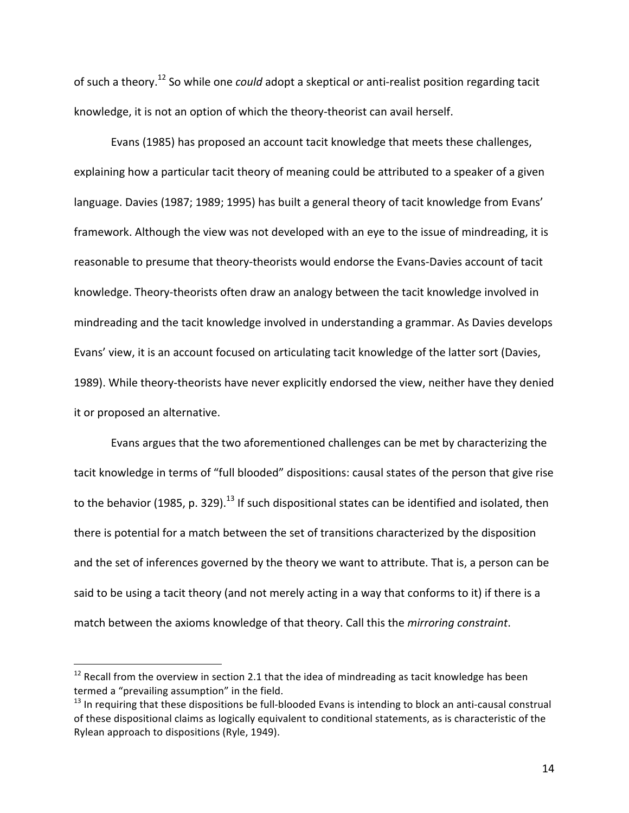of such a theory.<sup>12</sup> So while one *could* adopt a skeptical or anti-realist position regarding tacit knowledge, it is not an option of which the theory-theorist can avail herself.

Evans (1985) has proposed an account tacit knowledge that meets these challenges, explaining how a particular tacit theory of meaning could be attributed to a speaker of a given language. Davies (1987; 1989; 1995) has built a general theory of tacit knowledge from Evans' framework. Although the view was not developed with an eye to the issue of mindreading, it is reasonable to presume that theory-theorists would endorse the Evans-Davies account of tacit knowledge. Theory-theorists often draw an analogy between the tacit knowledge involved in mindreading and the tacit knowledge involved in understanding a grammar. As Davies develops Evans' view, it is an account focused on articulating tacit knowledge of the latter sort (Davies, 1989). While theory-theorists have never explicitly endorsed the view, neither have they denied it or proposed an alternative.

Evans argues that the two aforementioned challenges can be met by characterizing the tacit knowledge in terms of "full blooded" dispositions: causal states of the person that give rise to the behavior (1985, p. 329).<sup>13</sup> If such dispositional states can be identified and isolated, then there is potential for a match between the set of transitions characterized by the disposition and the set of inferences governed by the theory we want to attribute. That is, a person can be said to be using a tacit theory (and not merely acting in a way that conforms to it) if there is a match between the axioms knowledge of that theory. Call this the *mirroring constraint*.

 $12$  Recall from the overview in section 2.1 that the idea of mindreading as tacit knowledge has been termed a "prevailing assumption" in the field.

 $13$  In requiring that these dispositions be full-blooded Evans is intending to block an anti-causal construal of these dispositional claims as logically equivalent to conditional statements, as is characteristic of the Rylean approach to dispositions (Ryle, 1949).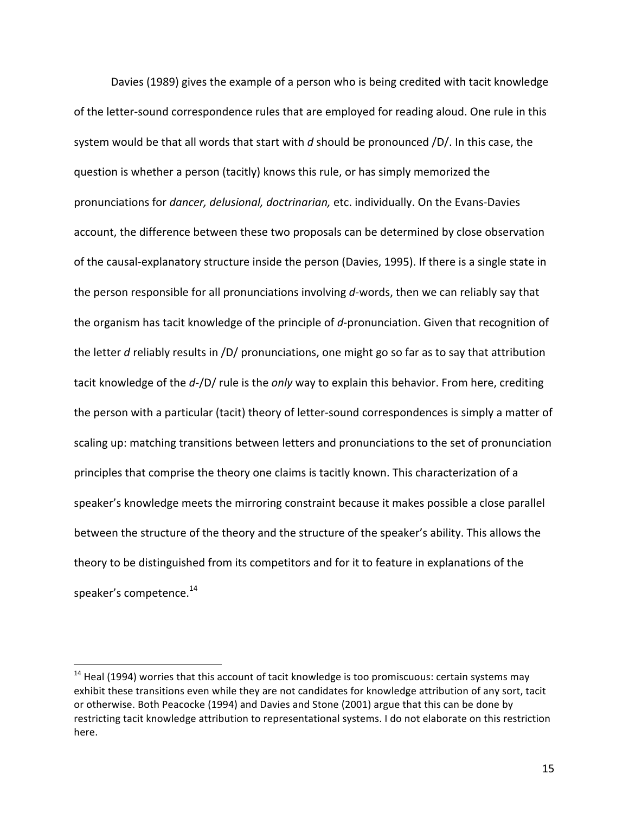Davies (1989) gives the example of a person who is being credited with tacit knowledge of the letter-sound correspondence rules that are employed for reading aloud. One rule in this system would be that all words that start with d should be pronounced /D/. In this case, the question is whether a person (tacitly) knows this rule, or has simply memorized the pronunciations for *dancer, delusional, doctrinarian,* etc. individually. On the Evans-Davies account, the difference between these two proposals can be determined by close observation of the causal-explanatory structure inside the person (Davies, 1995). If there is a single state in the person responsible for all pronunciations involving *d*-words, then we can reliably say that the organism has tacit knowledge of the principle of d-pronunciation. Given that recognition of the letter *d* reliably results in /D/ pronunciations, one might go so far as to say that attribution tacit knowledge of the d-/D/ rule is the only way to explain this behavior. From here, crediting the person with a particular (tacit) theory of letter-sound correspondences is simply a matter of scaling up: matching transitions between letters and pronunciations to the set of pronunciation principles that comprise the theory one claims is tacitly known. This characterization of a speaker's knowledge meets the mirroring constraint because it makes possible a close parallel between the structure of the theory and the structure of the speaker's ability. This allows the theory to be distinguished from its competitors and for it to feature in explanations of the speaker's competence.<sup>14</sup>

 $14$  Heal (1994) worries that this account of tacit knowledge is too promiscuous: certain systems may exhibit these transitions even while they are not candidates for knowledge attribution of any sort, tacit or otherwise. Both Peacocke (1994) and Davies and Stone (2001) argue that this can be done by restricting tacit knowledge attribution to representational systems. I do not elaborate on this restriction here.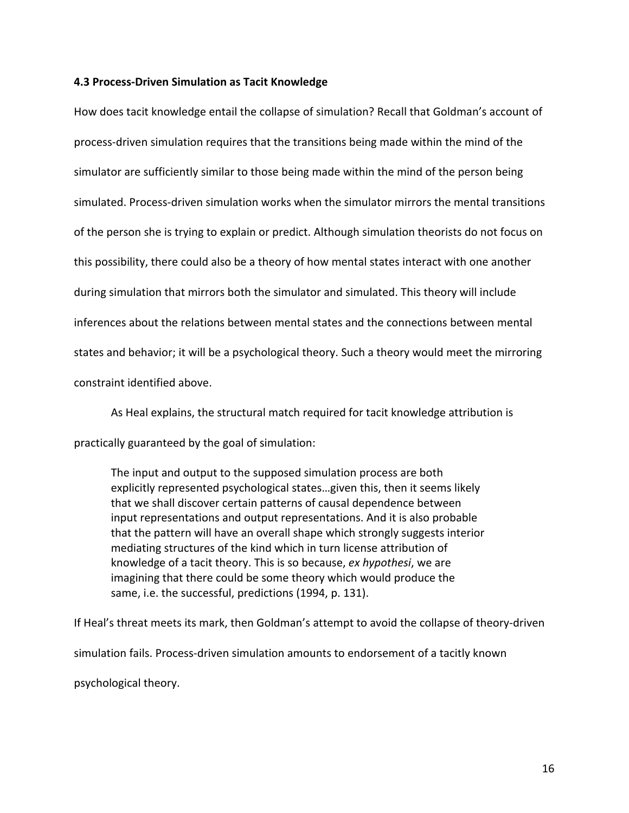#### **4.3 Process-Driven Simulation as Tacit Knowledge**

How does tacit knowledge entail the collapse of simulation? Recall that Goldman's account of process-driven simulation requires that the transitions being made within the mind of the simulator are sufficiently similar to those being made within the mind of the person being simulated. Process-driven simulation works when the simulator mirrors the mental transitions of the person she is trying to explain or predict. Although simulation theorists do not focus on this possibility, there could also be a theory of how mental states interact with one another during simulation that mirrors both the simulator and simulated. This theory will include inferences about the relations between mental states and the connections between mental states and behavior; it will be a psychological theory. Such a theory would meet the mirroring constraint identified above.

As Heal explains, the structural match required for tacit knowledge attribution is practically guaranteed by the goal of simulation:

The input and output to the supposed simulation process are both explicitly represented psychological states...given this, then it seems likely that we shall discover certain patterns of causal dependence between input representations and output representations. And it is also probable that the pattern will have an overall shape which strongly suggests interior mediating structures of the kind which in turn license attribution of knowledge of a tacit theory. This is so because, ex hypothesi, we are imagining that there could be some theory which would produce the same, i.e. the successful, predictions (1994, p. 131).

If Heal's threat meets its mark, then Goldman's attempt to avoid the collapse of theory-driven simulation fails. Process-driven simulation amounts to endorsement of a tacitly known psychological theory.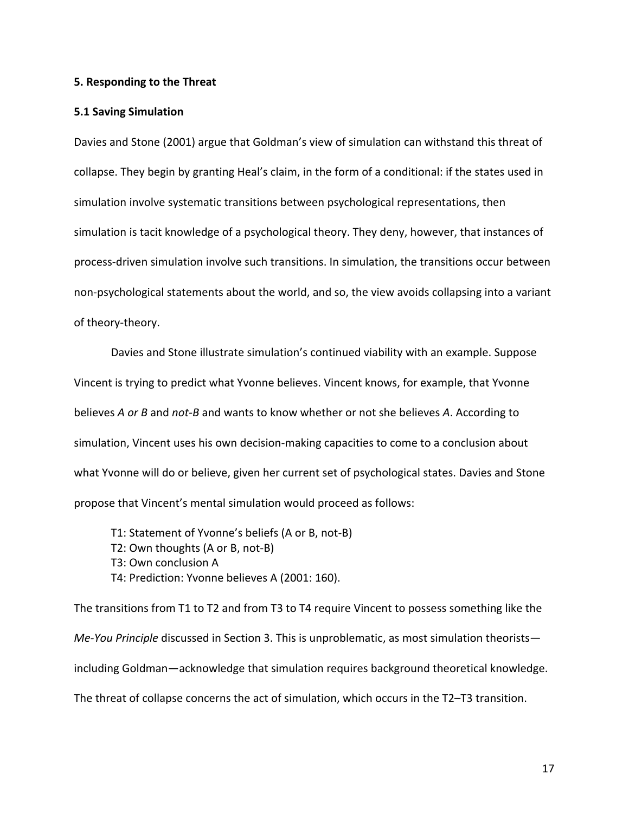#### **5. Responding to the Threat**

#### **5.1 Saving Simulation**

Davies and Stone (2001) argue that Goldman's view of simulation can withstand this threat of collapse. They begin by granting Heal's claim, in the form of a conditional: if the states used in simulation involve systematic transitions between psychological representations, then simulation is tacit knowledge of a psychological theory. They deny, however, that instances of process-driven simulation involve such transitions. In simulation, the transitions occur between non-psychological statements about the world, and so, the view avoids collapsing into a variant of theory-theory.

Davies and Stone illustrate simulation's continued viability with an example. Suppose Vincent is trying to predict what Yvonne believes. Vincent knows, for example, that Yvonne believes *A* or *B* and *not-B* and wants to know whether or not she believes *A*. According to simulation, Vincent uses his own decision-making capacities to come to a conclusion about what Yvonne will do or believe, given her current set of psychological states. Davies and Stone propose that Vincent's mental simulation would proceed as follows:

T1: Statement of Yvonne's beliefs (A or B, not-B)

- T2: Own thoughts (A or B, not-B)
- T3: Own conclusion A
- T4: Prediction: Yvonne believes A (2001: 160).

The transitions from T1 to T2 and from T3 to T4 require Vincent to possess something like the *Me-You Principle* discussed in Section 3. This is unproblematic, as most simulation theorists including Goldman—acknowledge that simulation requires background theoretical knowledge. The threat of collapse concerns the act of simulation, which occurs in the T2–T3 transition.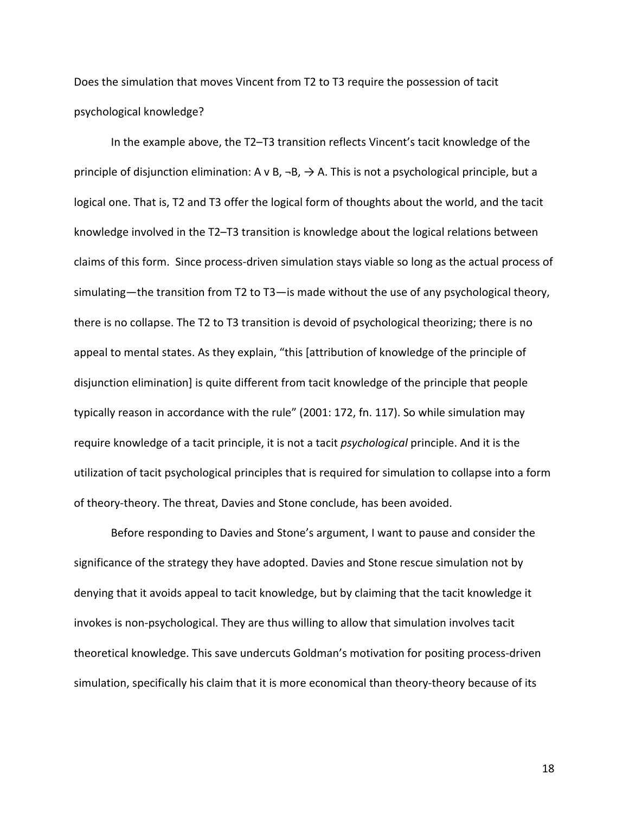Does the simulation that moves Vincent from T2 to T3 require the possession of tacit psychological knowledge?

In the example above, the T2–T3 transition reflects Vincent's tacit knowledge of the principle of disjunction elimination: A v B,  $\neg$ B,  $\neg$  A. This is not a psychological principle, but a logical one. That is, T2 and T3 offer the logical form of thoughts about the world, and the tacit knowledge involved in the T2–T3 transition is knowledge about the logical relations between claims of this form. Since process-driven simulation stays viable so long as the actual process of simulating—the transition from T2 to T3—is made without the use of any psychological theory, there is no collapse. The T2 to T3 transition is devoid of psychological theorizing; there is no appeal to mental states. As they explain, "this [attribution of knowledge of the principle of disjunction elimination] is quite different from tacit knowledge of the principle that people typically reason in accordance with the rule" (2001: 172, fn. 117). So while simulation may require knowledge of a tacit principle, it is not a tacit *psychological* principle. And it is the utilization of tacit psychological principles that is required for simulation to collapse into a form of theory-theory. The threat, Davies and Stone conclude, has been avoided.

Before responding to Davies and Stone's argument, I want to pause and consider the significance of the strategy they have adopted. Davies and Stone rescue simulation not by denying that it avoids appeal to tacit knowledge, but by claiming that the tacit knowledge it invokes is non-psychological. They are thus willing to allow that simulation involves tacit theoretical knowledge. This save undercuts Goldman's motivation for positing process-driven simulation, specifically his claim that it is more economical than theory-theory because of its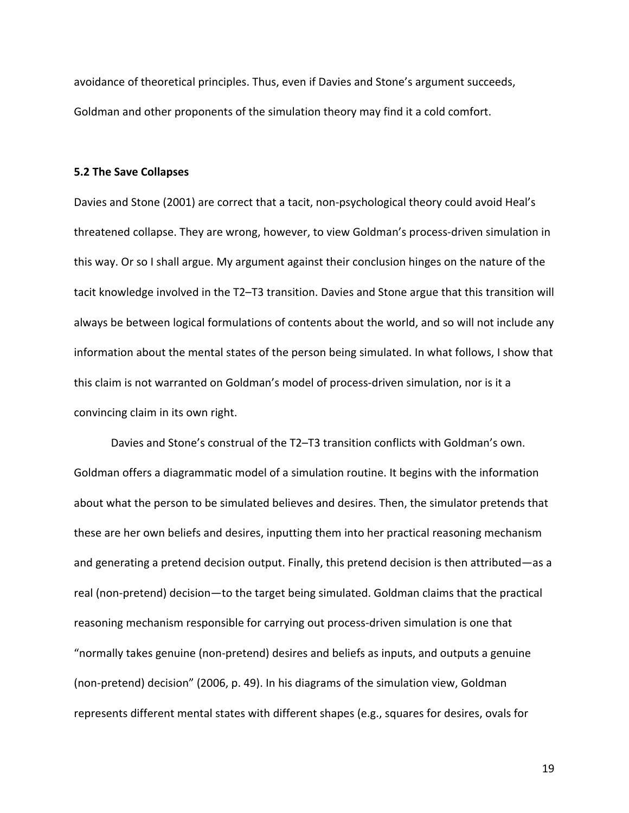avoidance of theoretical principles. Thus, even if Davies and Stone's argument succeeds, Goldman and other proponents of the simulation theory may find it a cold comfort.

### **5.2 The Save Collapses**

Davies and Stone (2001) are correct that a tacit, non-psychological theory could avoid Heal's threatened collapse. They are wrong, however, to view Goldman's process-driven simulation in this way. Or so I shall argue. My argument against their conclusion hinges on the nature of the tacit knowledge involved in the T2–T3 transition. Davies and Stone argue that this transition will always be between logical formulations of contents about the world, and so will not include any information about the mental states of the person being simulated. In what follows, I show that this claim is not warranted on Goldman's model of process-driven simulation, nor is it a convincing claim in its own right.

Davies and Stone's construal of the T2-T3 transition conflicts with Goldman's own. Goldman offers a diagrammatic model of a simulation routine. It begins with the information about what the person to be simulated believes and desires. Then, the simulator pretends that these are her own beliefs and desires, inputting them into her practical reasoning mechanism and generating a pretend decision output. Finally, this pretend decision is then attributed—as a real (non-pretend) decision—to the target being simulated. Goldman claims that the practical reasoning mechanism responsible for carrying out process-driven simulation is one that "normally takes genuine (non-pretend) desires and beliefs as inputs, and outputs a genuine (non-pretend) decision" (2006, p. 49). In his diagrams of the simulation view, Goldman represents different mental states with different shapes (e.g., squares for desires, ovals for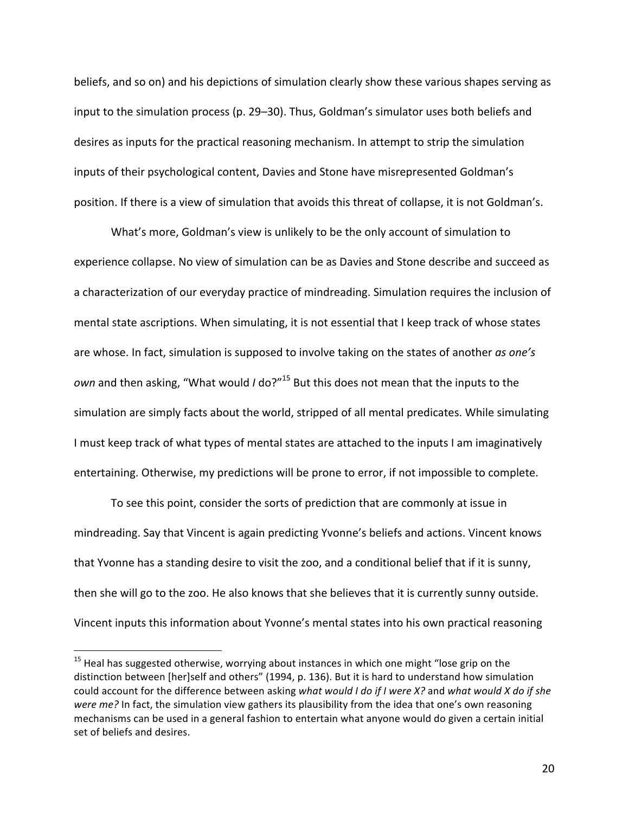beliefs, and so on) and his depictions of simulation clearly show these various shapes serving as input to the simulation process (p. 29–30). Thus, Goldman's simulator uses both beliefs and desires as inputs for the practical reasoning mechanism. In attempt to strip the simulation inputs of their psychological content, Davies and Stone have misrepresented Goldman's position. If there is a view of simulation that avoids this threat of collapse, it is not Goldman's.

What's more, Goldman's view is unlikely to be the only account of simulation to experience collapse. No view of simulation can be as Davies and Stone describe and succeed as a characterization of our everyday practice of mindreading. Simulation requires the inclusion of mental state ascriptions. When simulating, it is not essential that I keep track of whose states are whose. In fact, simulation is supposed to involve taking on the states of another *as one's own* and then asking, "What would *I* do?"<sup>15</sup> But this does not mean that the inputs to the simulation are simply facts about the world, stripped of all mental predicates. While simulating I must keep track of what types of mental states are attached to the inputs I am imaginatively entertaining. Otherwise, my predictions will be prone to error, if not impossible to complete.

To see this point, consider the sorts of prediction that are commonly at issue in mindreading. Say that Vincent is again predicting Yvonne's beliefs and actions. Vincent knows that Yvonne has a standing desire to visit the zoo, and a conditional belief that if it is sunny, then she will go to the zoo. He also knows that she believes that it is currently sunny outside. Vincent inputs this information about Yvonne's mental states into his own practical reasoning

 $15$  Heal has suggested otherwise, worrying about instances in which one might "lose grip on the distinction between [her]self and others" (1994, p. 136). But it is hard to understand how simulation could account for the difference between asking what would I do if I were X? and what would X do if she were me? In fact, the simulation view gathers its plausibility from the idea that one's own reasoning mechanisms can be used in a general fashion to entertain what anyone would do given a certain initial set of beliefs and desires.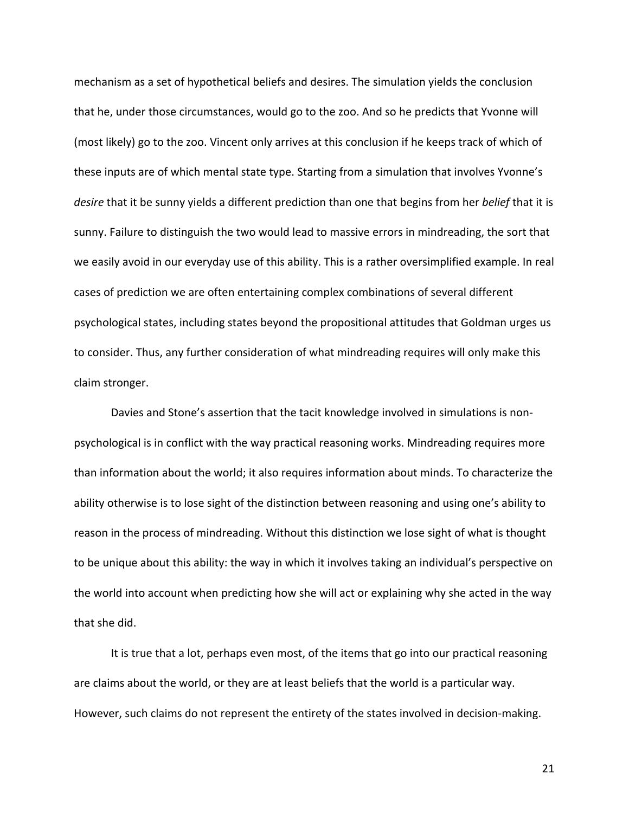mechanism as a set of hypothetical beliefs and desires. The simulation yields the conclusion that he, under those circumstances, would go to the zoo. And so he predicts that Yvonne will (most likely) go to the zoo. Vincent only arrives at this conclusion if he keeps track of which of these inputs are of which mental state type. Starting from a simulation that involves Yvonne's desire that it be sunny yields a different prediction than one that begins from her belief that it is sunny. Failure to distinguish the two would lead to massive errors in mindreading, the sort that we easily avoid in our everyday use of this ability. This is a rather oversimplified example. In real cases of prediction we are often entertaining complex combinations of several different psychological states, including states beyond the propositional attitudes that Goldman urges us to consider. Thus, any further consideration of what mindreading requires will only make this claim stronger.

Davies and Stone's assertion that the tacit knowledge involved in simulations is nonpsychological is in conflict with the way practical reasoning works. Mindreading requires more than information about the world; it also requires information about minds. To characterize the ability otherwise is to lose sight of the distinction between reasoning and using one's ability to reason in the process of mindreading. Without this distinction we lose sight of what is thought to be unique about this ability: the way in which it involves taking an individual's perspective on the world into account when predicting how she will act or explaining why she acted in the way that she did.

It is true that a lot, perhaps even most, of the items that go into our practical reasoning are claims about the world, or they are at least beliefs that the world is a particular way. However, such claims do not represent the entirety of the states involved in decision-making.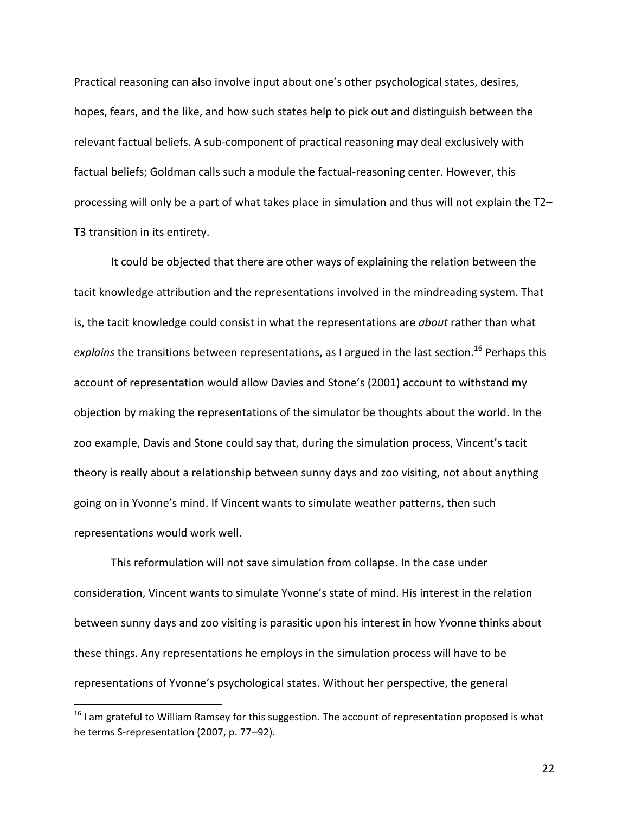Practical reasoning can also involve input about one's other psychological states, desires, hopes, fears, and the like, and how such states help to pick out and distinguish between the relevant factual beliefs. A sub-component of practical reasoning may deal exclusively with factual beliefs; Goldman calls such a module the factual-reasoning center. However, this processing will only be a part of what takes place in simulation and thus will not explain the T2-T3 transition in its entirety.

It could be objected that there are other ways of explaining the relation between the tacit knowledge attribution and the representations involved in the mindreading system. That is, the tacit knowledge could consist in what the representations are *about* rather than what explains the transitions between representations, as I argued in the last section.<sup>16</sup> Perhaps this account of representation would allow Davies and Stone's (2001) account to withstand my objection by making the representations of the simulator be thoughts about the world. In the zoo example, Davis and Stone could say that, during the simulation process, Vincent's tacit theory is really about a relationship between sunny days and zoo visiting, not about anything going on in Yvonne's mind. If Vincent wants to simulate weather patterns, then such representations would work well.

This reformulation will not save simulation from collapse. In the case under consideration, Vincent wants to simulate Yvonne's state of mind. His interest in the relation between sunny days and zoo visiting is parasitic upon his interest in how Yvonne thinks about these things. Any representations he employs in the simulation process will have to be representations of Yvonne's psychological states. Without her perspective, the general

 $\overline{a}$ 

 $16$  I am grateful to William Ramsey for this suggestion. The account of representation proposed is what he terms S-representation (2007, p. 77–92).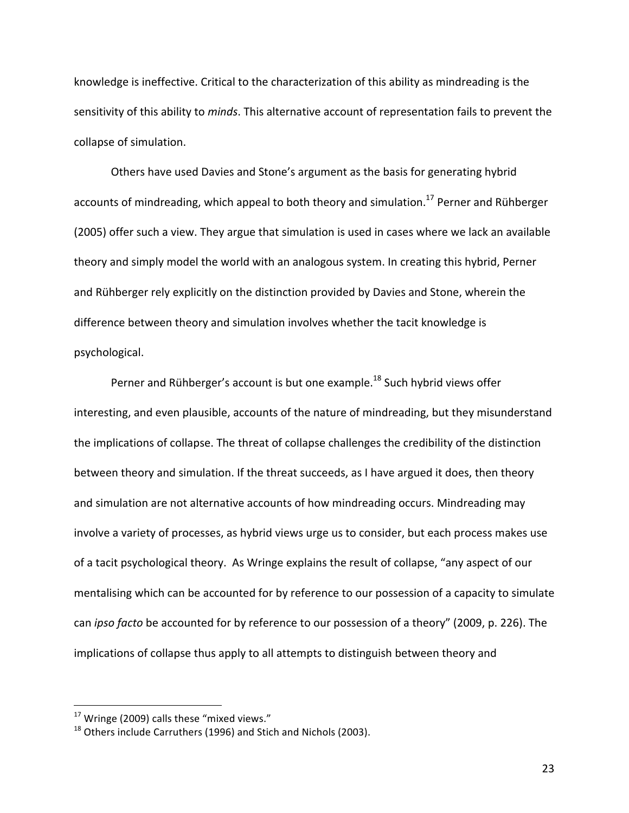knowledge is ineffective. Critical to the characterization of this ability as mindreading is the sensitivity of this ability to *minds*. This alternative account of representation fails to prevent the collapse of simulation.

Others have used Davies and Stone's argument as the basis for generating hybrid accounts of mindreading, which appeal to both theory and simulation.<sup>17</sup> Perner and Rühberger (2005) offer such a view. They argue that simulation is used in cases where we lack an available theory and simply model the world with an analogous system. In creating this hybrid, Perner and Rühberger rely explicitly on the distinction provided by Davies and Stone, wherein the difference between theory and simulation involves whether the tacit knowledge is psychological. 

Perner and Rühberger's account is but one example.<sup>18</sup> Such hybrid views offer interesting, and even plausible, accounts of the nature of mindreading, but they misunderstand the implications of collapse. The threat of collapse challenges the credibility of the distinction between theory and simulation. If the threat succeeds, as I have argued it does, then theory and simulation are not alternative accounts of how mindreading occurs. Mindreading may involve a variety of processes, as hybrid views urge us to consider, but each process makes use of a tacit psychological theory. As Wringe explains the result of collapse, "any aspect of our mentalising which can be accounted for by reference to our possession of a capacity to simulate can *ipso facto* be accounted for by reference to our possession of a theory" (2009, p. 226). The implications of collapse thus apply to all attempts to distinguish between theory and

 $\overline{a}$ 

 $17$  Wringe (2009) calls these "mixed views."

 $18$  Others include Carruthers (1996) and Stich and Nichols (2003).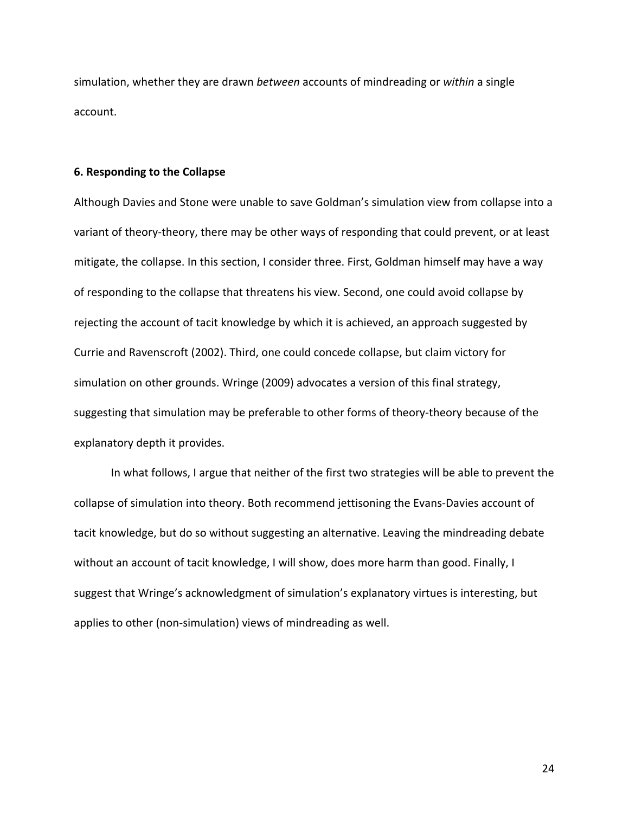simulation, whether they are drawn *between* accounts of mindreading or *within* a single account. 

### **6. Responding to the Collapse**

Although Davies and Stone were unable to save Goldman's simulation view from collapse into a variant of theory-theory, there may be other ways of responding that could prevent, or at least mitigate, the collapse. In this section, I consider three. First, Goldman himself may have a way of responding to the collapse that threatens his view. Second, one could avoid collapse by rejecting the account of tacit knowledge by which it is achieved, an approach suggested by Currie and Ravenscroft (2002). Third, one could concede collapse, but claim victory for simulation on other grounds. Wringe (2009) advocates a version of this final strategy, suggesting that simulation may be preferable to other forms of theory-theory because of the explanatory depth it provides.

In what follows, I argue that neither of the first two strategies will be able to prevent the collapse of simulation into theory. Both recommend jettisoning the Evans-Davies account of tacit knowledge, but do so without suggesting an alternative. Leaving the mindreading debate without an account of tacit knowledge, I will show, does more harm than good. Finally, I suggest that Wringe's acknowledgment of simulation's explanatory virtues is interesting, but applies to other (non-simulation) views of mindreading as well.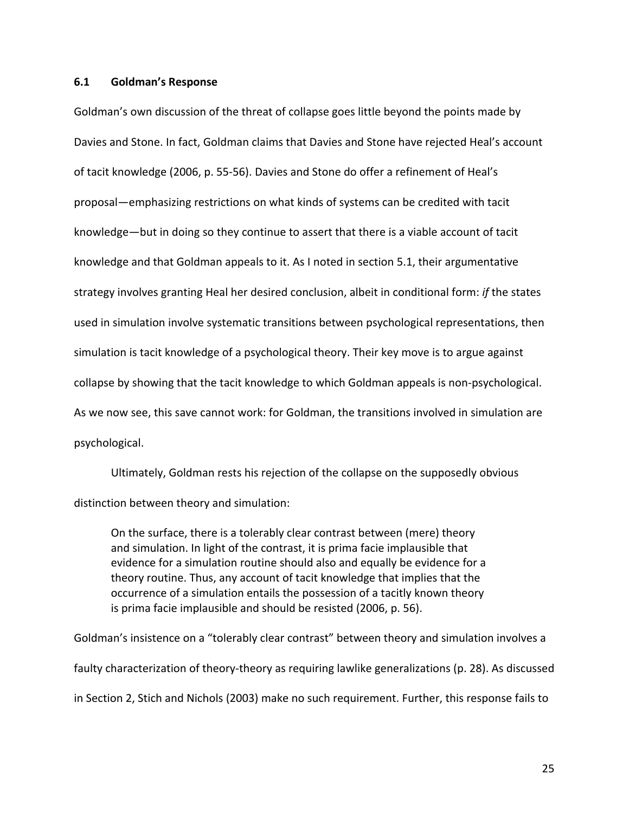### **6.1 Goldman's Response**

Goldman's own discussion of the threat of collapse goes little beyond the points made by Davies and Stone. In fact, Goldman claims that Davies and Stone have rejected Heal's account of tacit knowledge (2006, p. 55-56). Davies and Stone do offer a refinement of Heal's proposal—emphasizing restrictions on what kinds of systems can be credited with tacit knowledge—but in doing so they continue to assert that there is a viable account of tacit knowledge and that Goldman appeals to it. As I noted in section 5.1, their argumentative strategy involves granting Heal her desired conclusion, albeit in conditional form: *if* the states used in simulation involve systematic transitions between psychological representations, then simulation is tacit knowledge of a psychological theory. Their key move is to argue against collapse by showing that the tacit knowledge to which Goldman appeals is non-psychological. As we now see, this save cannot work: for Goldman, the transitions involved in simulation are psychological. 

Ultimately, Goldman rests his rejection of the collapse on the supposedly obvious distinction between theory and simulation:

On the surface, there is a tolerably clear contrast between (mere) theory and simulation. In light of the contrast, it is prima facie implausible that evidence for a simulation routine should also and equally be evidence for a theory routine. Thus, any account of tacit knowledge that implies that the occurrence of a simulation entails the possession of a tacitly known theory is prima facie implausible and should be resisted (2006, p. 56).

Goldman's insistence on a "tolerably clear contrast" between theory and simulation involves a faulty characterization of theory-theory as requiring lawlike generalizations (p. 28). As discussed in Section 2, Stich and Nichols (2003) make no such requirement. Further, this response fails to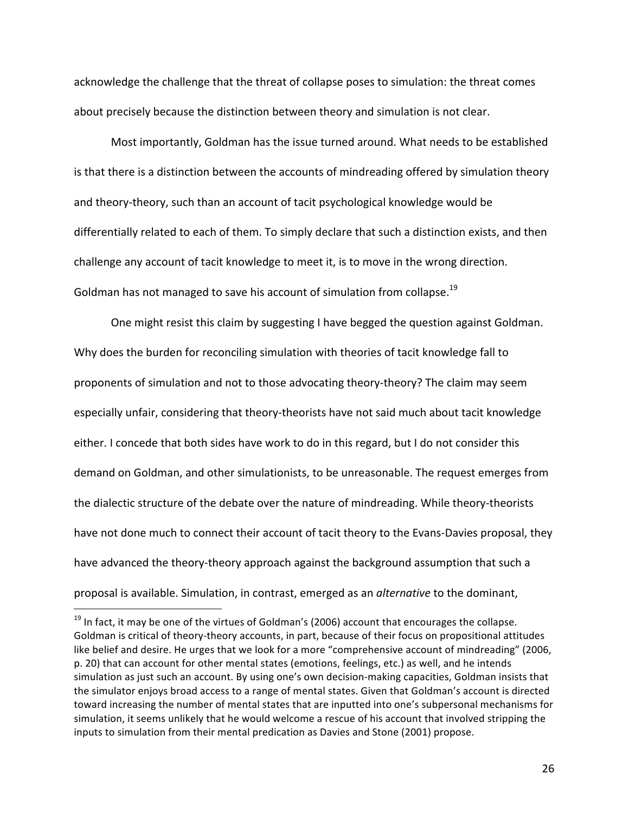acknowledge the challenge that the threat of collapse poses to simulation: the threat comes about precisely because the distinction between theory and simulation is not clear.

Most importantly, Goldman has the issue turned around. What needs to be established is that there is a distinction between the accounts of mindreading offered by simulation theory and theory-theory, such than an account of tacit psychological knowledge would be differentially related to each of them. To simply declare that such a distinction exists, and then challenge any account of tacit knowledge to meet it, is to move in the wrong direction. Goldman has not managed to save his account of simulation from collapse.<sup>19</sup>

One might resist this claim by suggesting I have begged the question against Goldman. Why does the burden for reconciling simulation with theories of tacit knowledge fall to proponents of simulation and not to those advocating theory-theory? The claim may seem especially unfair, considering that theory-theorists have not said much about tacit knowledge either. I concede that both sides have work to do in this regard, but I do not consider this demand on Goldman, and other simulationists, to be unreasonable. The request emerges from the dialectic structure of the debate over the nature of mindreading. While theory-theorists have not done much to connect their account of tacit theory to the Evans-Davies proposal, they have advanced the theory-theory approach against the background assumption that such a proposal is available. Simulation, in contrast, emerged as an *alternative* to the dominant,

 $19$  In fact, it may be one of the virtues of Goldman's (2006) account that encourages the collapse. Goldman is critical of theory-theory accounts, in part, because of their focus on propositional attitudes like belief and desire. He urges that we look for a more "comprehensive account of mindreading" (2006, p. 20) that can account for other mental states (emotions, feelings, etc.) as well, and he intends simulation as just such an account. By using one's own decision-making capacities, Goldman insists that the simulator enjoys broad access to a range of mental states. Given that Goldman's account is directed toward increasing the number of mental states that are inputted into one's subpersonal mechanisms for simulation, it seems unlikely that he would welcome a rescue of his account that involved stripping the inputs to simulation from their mental predication as Davies and Stone (2001) propose.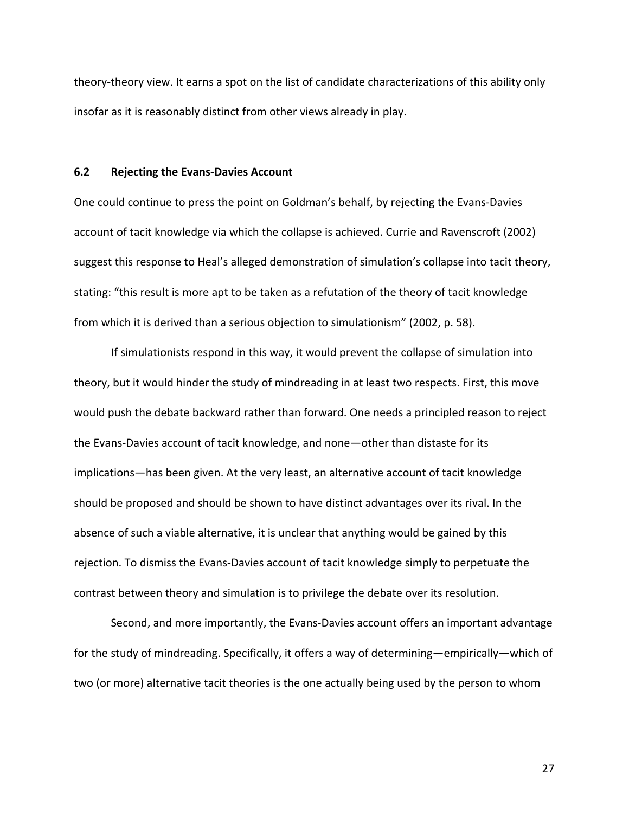theory-theory view. It earns a spot on the list of candidate characterizations of this ability only insofar as it is reasonably distinct from other views already in play.

#### **6.2** Rejecting the Evans-Davies Account

One could continue to press the point on Goldman's behalf, by rejecting the Evans-Davies account of tacit knowledge via which the collapse is achieved. Currie and Ravenscroft (2002) suggest this response to Heal's alleged demonstration of simulation's collapse into tacit theory, stating: "this result is more apt to be taken as a refutation of the theory of tacit knowledge from which it is derived than a serious objection to simulationism" (2002, p. 58).

If simulationists respond in this way, it would prevent the collapse of simulation into theory, but it would hinder the study of mindreading in at least two respects. First, this move would push the debate backward rather than forward. One needs a principled reason to reject the Evans-Davies account of tacit knowledge, and none-other than distaste for its implications—has been given. At the very least, an alternative account of tacit knowledge should be proposed and should be shown to have distinct advantages over its rival. In the absence of such a viable alternative, it is unclear that anything would be gained by this rejection. To dismiss the Evans-Davies account of tacit knowledge simply to perpetuate the contrast between theory and simulation is to privilege the debate over its resolution.

Second, and more importantly, the Evans-Davies account offers an important advantage for the study of mindreading. Specifically, it offers a way of determining—empirically—which of two (or more) alternative tacit theories is the one actually being used by the person to whom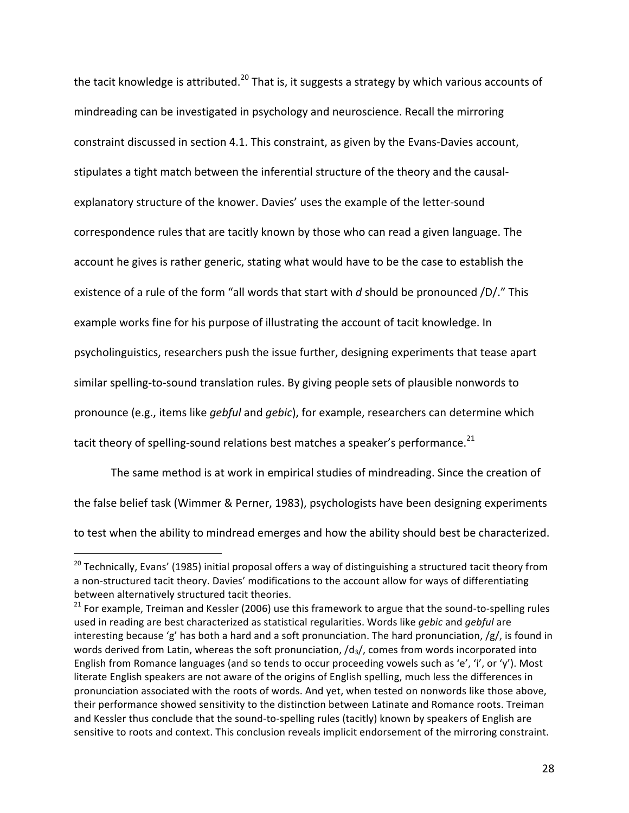the tacit knowledge is attributed.<sup>20</sup> That is, it suggests a strategy by which various accounts of mindreading can be investigated in psychology and neuroscience. Recall the mirroring constraint discussed in section 4.1. This constraint, as given by the Evans-Davies account, stipulates a tight match between the inferential structure of the theory and the causalexplanatory structure of the knower. Davies' uses the example of the letter-sound correspondence rules that are tacitly known by those who can read a given language. The account he gives is rather generic, stating what would have to be the case to establish the existence of a rule of the form "all words that start with d should be pronounced /D/." This example works fine for his purpose of illustrating the account of tacit knowledge. In psycholinguistics, researchers push the issue further, designing experiments that tease apart similar spelling-to-sound translation rules. By giving people sets of plausible nonwords to pronounce (e.g., items like *gebful* and *gebic*), for example, researchers can determine which tacit theory of spelling-sound relations best matches a speaker's performance. $^{21}$ 

The same method is at work in empirical studies of mindreading. Since the creation of the false belief task (Wimmer & Perner, 1983), psychologists have been designing experiments to test when the ability to mindread emerges and how the ability should best be characterized.

 $\overline{a}$ 

<sup>&</sup>lt;sup>20</sup> Technically, Evans' (1985) initial proposal offers a way of distinguishing a structured tacit theory from a non-structured tacit theory. Davies' modifications to the account allow for ways of differentiating between alternatively structured tacit theories.

 $21$  For example, Treiman and Kessler (2006) use this framework to argue that the sound-to-spelling rules used in reading are best characterized as statistical regularities. Words like *gebic* and *gebful* are interesting because 'g' has both a hard and a soft pronunciation. The hard pronunciation,  $/g/$ , is found in words derived from Latin, whereas the soft pronunciation,  $/d_3/$ , comes from words incorporated into English from Romance languages (and so tends to occur proceeding vowels such as 'e', 'i', or 'y'). Most literate English speakers are not aware of the origins of English spelling, much less the differences in pronunciation associated with the roots of words. And yet, when tested on nonwords like those above, their performance showed sensitivity to the distinction between Latinate and Romance roots. Treiman and Kessler thus conclude that the sound-to-spelling rules (tacitly) known by speakers of English are sensitive to roots and context. This conclusion reveals implicit endorsement of the mirroring constraint.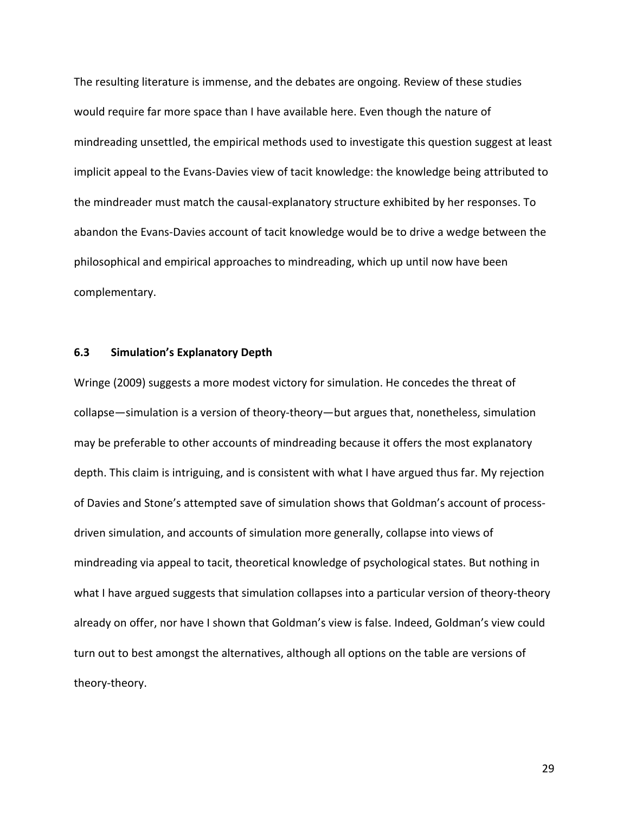The resulting literature is immense, and the debates are ongoing. Review of these studies would require far more space than I have available here. Even though the nature of mindreading unsettled, the empirical methods used to investigate this question suggest at least implicit appeal to the Evans-Davies view of tacit knowledge: the knowledge being attributed to the mindreader must match the causal-explanatory structure exhibited by her responses. To abandon the Evans-Davies account of tacit knowledge would be to drive a wedge between the philosophical and empirical approaches to mindreading, which up until now have been complementary. 

# **6.3 Simulation's Explanatory Depth**

Wringe (2009) suggests a more modest victory for simulation. He concedes the threat of collapse—simulation is a version of theory-theory—but argues that, nonetheless, simulation may be preferable to other accounts of mindreading because it offers the most explanatory depth. This claim is intriguing, and is consistent with what I have argued thus far. My rejection of Davies and Stone's attempted save of simulation shows that Goldman's account of processdriven simulation, and accounts of simulation more generally, collapse into views of mindreading via appeal to tacit, theoretical knowledge of psychological states. But nothing in what I have argued suggests that simulation collapses into a particular version of theory-theory already on offer, nor have I shown that Goldman's view is false. Indeed, Goldman's view could turn out to best amongst the alternatives, although all options on the table are versions of theory-theory.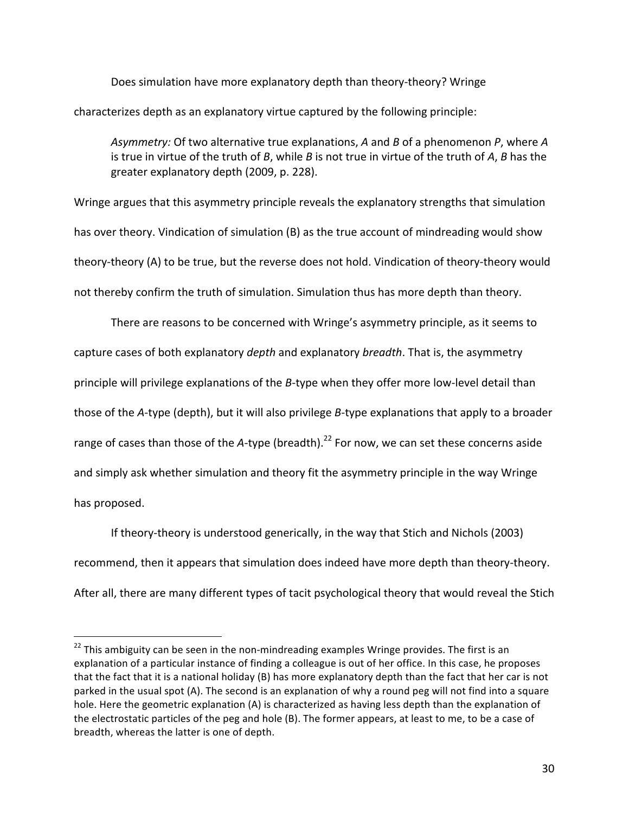Does simulation have more explanatory depth than theory-theory? Wringe characterizes depth as an explanatory virtue captured by the following principle:

*Asymmetry:* Of two alternative true explanations, A and B of a phenomenon P, where A is true in virtue of the truth of *B*, while *B* is not true in virtue of the truth of *A*, *B* has the greater explanatory depth (2009, p. 228).

Wringe argues that this asymmetry principle reveals the explanatory strengths that simulation has over theory. Vindication of simulation (B) as the true account of mindreading would show theory-theory (A) to be true, but the reverse does not hold. Vindication of theory-theory would not thereby confirm the truth of simulation. Simulation thus has more depth than theory.

There are reasons to be concerned with Wringe's asymmetry principle, as it seems to capture cases of both explanatory *depth* and explanatory *breadth*. That is, the asymmetry principle will privilege explanations of the *B*-type when they offer more low-level detail than those of the A-type (depth), but it will also privilege B-type explanations that apply to a broader range of cases than those of the A-type (breadth).<sup>22</sup> For now, we can set these concerns aside and simply ask whether simulation and theory fit the asymmetry principle in the way Wringe has proposed.

If theory-theory is understood generically, in the way that Stich and Nichols (2003) recommend, then it appears that simulation does indeed have more depth than theory-theory. After all, there are many different types of tacit psychological theory that would reveal the Stich

 $22$  This ambiguity can be seen in the non-mindreading examples Wringe provides. The first is an explanation of a particular instance of finding a colleague is out of her office. In this case, he proposes that the fact that it is a national holiday (B) has more explanatory depth than the fact that her car is not parked in the usual spot (A). The second is an explanation of why a round peg will not find into a square hole. Here the geometric explanation (A) is characterized as having less depth than the explanation of the electrostatic particles of the peg and hole (B). The former appears, at least to me, to be a case of breadth, whereas the latter is one of depth.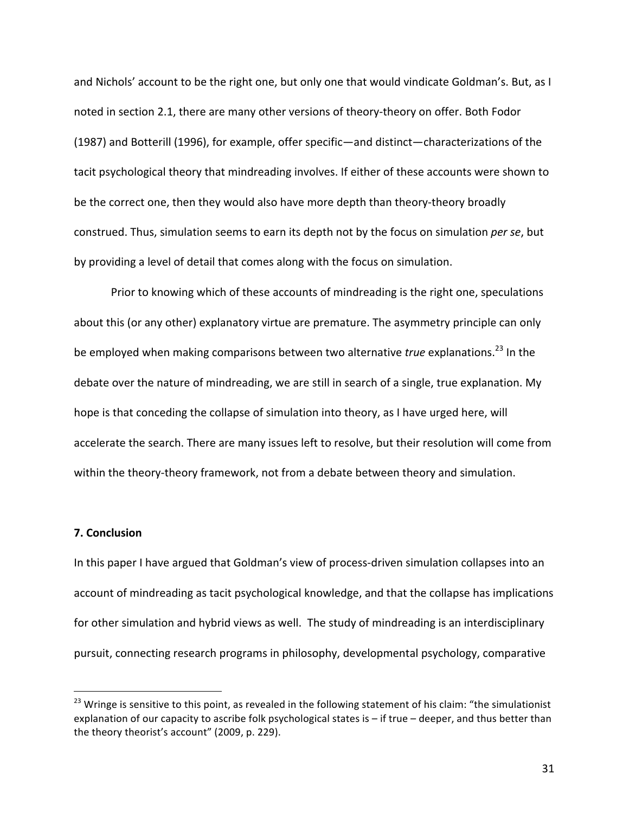and Nichols' account to be the right one, but only one that would vindicate Goldman's. But, as I noted in section 2.1, there are many other versions of theory-theory on offer. Both Fodor (1987) and Botterill (1996), for example, offer specific—and distinct—characterizations of the tacit psychological theory that mindreading involves. If either of these accounts were shown to be the correct one, then they would also have more depth than theory-theory broadly construed. Thus, simulation seems to earn its depth not by the focus on simulation *per se*, but by providing a level of detail that comes along with the focus on simulation.

Prior to knowing which of these accounts of mindreading is the right one, speculations about this (or any other) explanatory virtue are premature. The asymmetry principle can only be employed when making comparisons between two alternative *true* explanations.<sup>23</sup> In the debate over the nature of mindreading, we are still in search of a single, true explanation. My hope is that conceding the collapse of simulation into theory, as I have urged here, will accelerate the search. There are many issues left to resolve, but their resolution will come from within the theory-theory framework, not from a debate between theory and simulation.

# **7. Conclusion**

 $\overline{a}$ 

In this paper I have argued that Goldman's view of process-driven simulation collapses into an account of mindreading as tacit psychological knowledge, and that the collapse has implications for other simulation and hybrid views as well. The study of mindreading is an interdisciplinary pursuit, connecting research programs in philosophy, developmental psychology, comparative

<sup>&</sup>lt;sup>23</sup> Wringe is sensitive to this point, as revealed in the following statement of his claim: "the simulationist explanation of our capacity to ascribe folk psychological states is  $-$  if true  $-$  deeper, and thus better than the theory theorist's account" (2009, p. 229).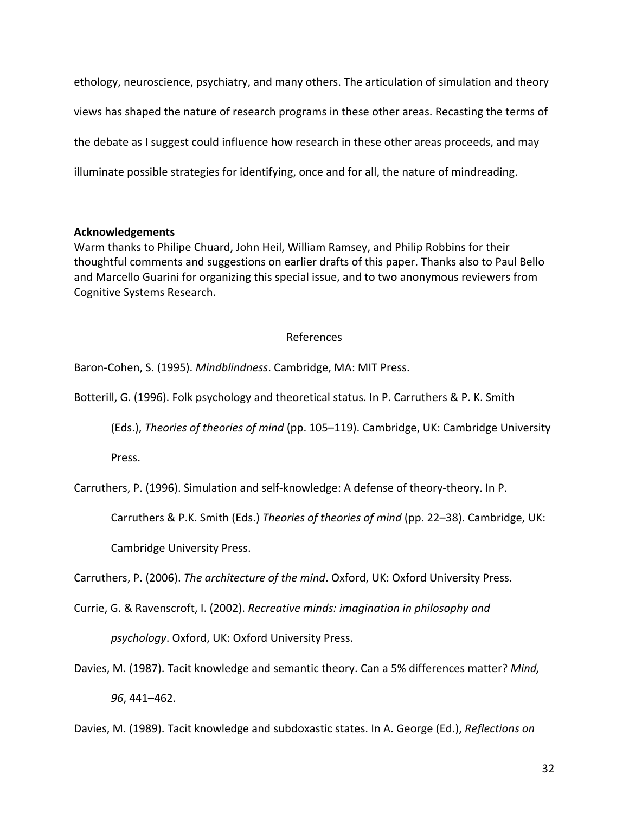ethology, neuroscience, psychiatry, and many others. The articulation of simulation and theory views has shaped the nature of research programs in these other areas. Recasting the terms of the debate as I suggest could influence how research in these other areas proceeds, and may illuminate possible strategies for identifying, once and for all, the nature of mindreading.

# **Acknowledgements**

Warm thanks to Philipe Chuard, John Heil, William Ramsey, and Philip Robbins for their thoughtful comments and suggestions on earlier drafts of this paper. Thanks also to Paul Bello and Marcello Guarini for organizing this special issue, and to two anonymous reviewers from Cognitive Systems Research.

# References

Baron-Cohen, S. (1995). *Mindblindness*. Cambridge, MA: MIT Press.

Botterill, G. (1996). Folk psychology and theoretical status. In P. Carruthers & P. K. Smith

(Eds.), *Theories of theories of mind* (pp. 105–119). Cambridge, UK: Cambridge University

Press. 

Carruthers, P. (1996). Simulation and self-knowledge: A defense of theory-theory. In P.

Carruthers & P.K. Smith (Eds.) *Theories of theories of mind* (pp. 22–38). Cambridge, UK:

Cambridge University Press.

Carruthers, P. (2006). *The architecture of the mind*. Oxford, UK: Oxford University Press.

- Currie, G. & Ravenscroft, I. (2002). *Recreative minds: imagination in philosophy and* psychology. Oxford, UK: Oxford University Press.
- Davies, M. (1987). Tacit knowledge and semantic theory. Can a 5% differences matter? *Mind, 96*, 441–462.

Davies, M. (1989). Tacit knowledge and subdoxastic states. In A. George (Ed.), *Reflections on*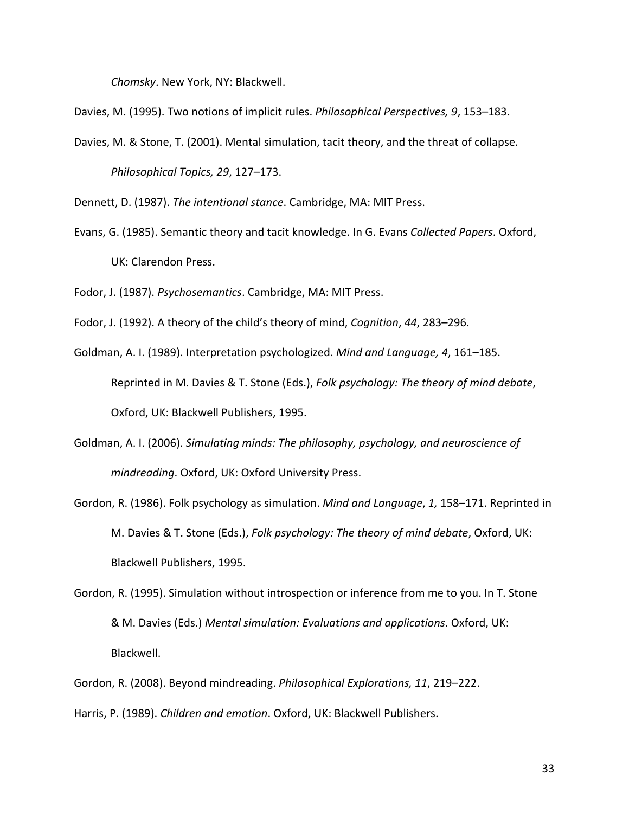*Chomsky*. New York, NY: Blackwell. 

Davies, M. (1995). Two notions of implicit rules. *Philosophical Perspectives, 9,* 153–183.

Davies, M. & Stone, T. (2001). Mental simulation, tacit theory, and the threat of collapse. *Philosophical Topics, 29*, 127–173. 

Dennett, D. (1987). *The intentional stance*. Cambridge, MA: MIT Press.

Evans, G. (1985). Semantic theory and tacit knowledge. In G. Evans *Collected Papers*. Oxford, UK: Clarendon Press.

Fodor, J. (1987). *Psychosemantics*. Cambridge, MA: MIT Press.

- Fodor, J. (1992). A theory of the child's theory of mind, *Cognition*, 44, 283–296.
- Goldman, A. I. (1989). Interpretation psychologized. Mind and Language, 4, 161-185. Reprinted in M. Davies & T. Stone (Eds.), *Folk psychology: The theory of mind debate*, Oxford, UK: Blackwell Publishers, 1995.
- Goldman, A. I. (2006). *Simulating minds: The philosophy, psychology, and neuroscience of* mindreading. Oxford, UK: Oxford University Press.
- Gordon, R. (1986). Folk psychology as simulation. *Mind and Language*, 1, 158–171. Reprinted in M. Davies & T. Stone (Eds.), *Folk psychology: The theory of mind debate*, Oxford, UK: Blackwell Publishers, 1995.
- Gordon, R. (1995). Simulation without introspection or inference from me to you. In T. Stone & M. Davies (Eds.) *Mental simulation: Evaluations and applications*. Oxford, UK: Blackwell.
- Gordon, R. (2008). Beyond mindreading. *Philosophical Explorations, 11*, 219–222.

Harris, P. (1989). *Children and emotion*. Oxford, UK: Blackwell Publishers.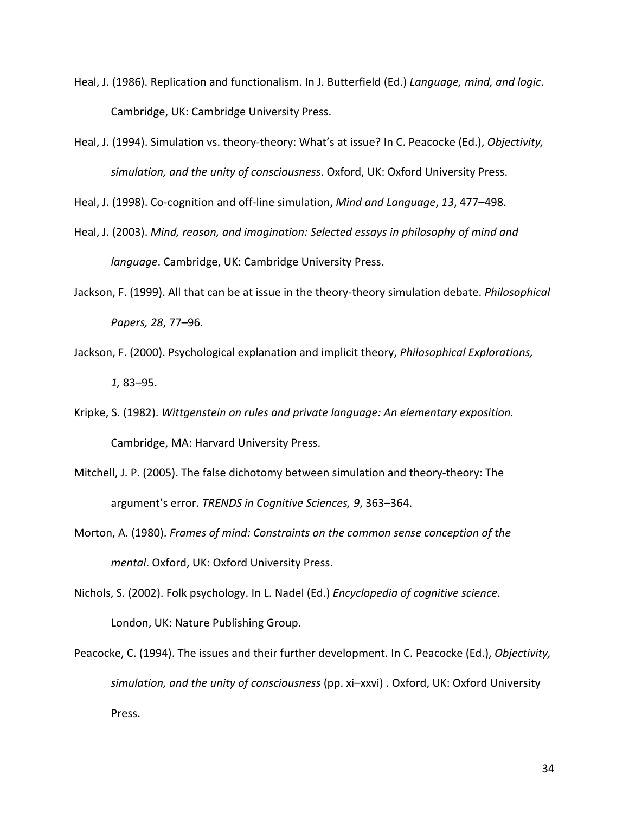- Heal, J. (1986). Replication and functionalism. In J. Butterfield (Ed.) Language, mind, and logic. Cambridge, UK: Cambridge University Press.
- Heal, J. (1994). Simulation vs. theory-theory: What's at issue? In C. Peacocke (Ed.), Objectivity, simulation, and the unity of consciousness. Oxford, UK: Oxford University Press.
- Heal, J. (1998). Co-cognition and off-line simulation, *Mind and Language*, 13, 477–498.
- Heal, J. (2003). *Mind, reason, and imagination: Selected essays in philosophy of mind and language*. Cambridge, UK: Cambridge University Press.
- Jackson, F. (1999). All that can be at issue in the theory-theory simulation debate. *Philosophical Papers, 28*, 77–96.
- Jackson, F. (2000). Psychological explanation and implicit theory, *Philosophical Explorations*, *1,* 83–95.
- Kripke, S. (1982). Wittgenstein on rules and private language: An elementary exposition. Cambridge, MA: Harvard University Press.
- Mitchell, J. P. (2005). The false dichotomy between simulation and theory-theory: The argument's error. *TRENDS in Cognitive Sciences, 9,* 363-364.
- Morton, A. (1980). *Frames of mind: Constraints on the common sense conception of the* mental. Oxford, UK: Oxford University Press.
- Nichols, S. (2002). Folk psychology. In L. Nadel (Ed.) *Encyclopedia of cognitive science*. London, UK: Nature Publishing Group.
- Peacocke, C. (1994). The issues and their further development. In C. Peacocke (Ed.), *Objectivity*, simulation, and the unity of consciousness (pp. xi-xxvi) . Oxford, UK: Oxford University Press.